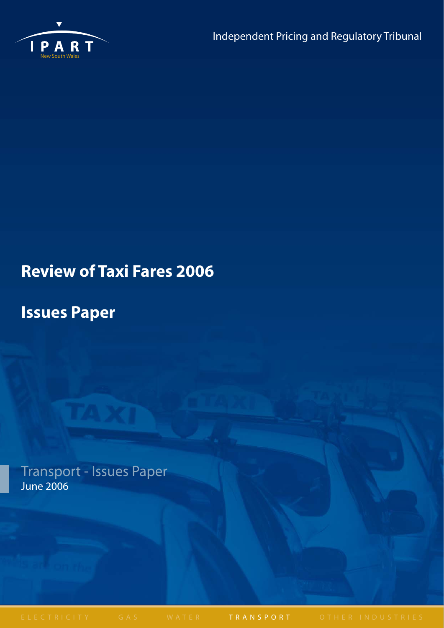

# **Review of Taxi Fares 2006**

# **Issues Paper**

Transport - Issues Paper June 2006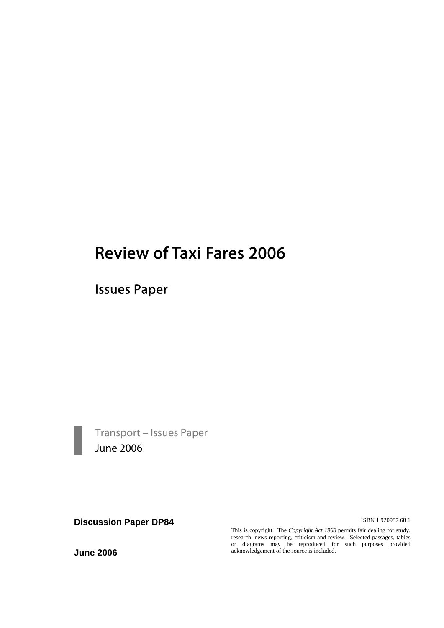# Review of Taxi Fares 2006

Issues Paper



Transport – Issues Paper<br>June 2006

**Discussion Paper DP84 ISBN 1 920987 68 1** 

This is copyright. The *Copyright Act 1968* permits fair dealing for study, research, news reporting, criticism and review. Selected passages, tables or diagrams may be reproduced for such purposes provided acknowledgement of the source is included.

**June 2006**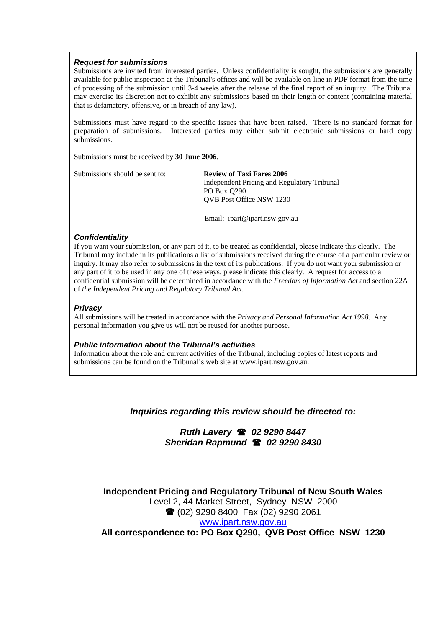#### *Request for submissions*

Submissions are invited from interested parties. Unless confidentiality is sought, the submissions are generally available for public inspection at the Tribunal's offices and will be available on-line in PDF format from the time of processing of the submission until 3-4 weeks after the release of the final report of an inquiry. The Tribunal may exercise its discretion not to exhibit any submissions based on their length or content (containing material that is defamatory, offensive, or in breach of any law).

Submissions must have regard to the specific issues that have been raised. There is no standard format for preparation of submissions. Interested parties may either submit electronic submissions or hard copy submissions.

Submissions must be received by **30 June 2006**.

Submissions should be sent to: **Review of Taxi Fares 2006** 

 Independent Pricing and Regulatory Tribunal PO Box Q290 QVB Post Office NSW 1230

Email: ipart@ipart.nsw.gov.au

#### *Confidentiality*

If you want your submission, or any part of it, to be treated as confidential, please indicate this clearly. The Tribunal may include in its publications a list of submissions received during the course of a particular review or inquiry. It may also refer to submissions in the text of its publications. If you do not want your submission or any part of it to be used in any one of these ways, please indicate this clearly. A request for access to a confidential submission will be determined in accordance with the *Freedom of Information Act* and section 22A of *the Independent Pricing and Regulatory Tribunal Act*.

#### *Privacy*

All submissions will be treated in accordance with the *Privacy and Personal Information Act 1998*. Any personal information you give us will not be reused for another purpose.

#### *Public information about the Tribunal's activities*

Information about the role and current activities of the Tribunal, including copies of latest reports and submissions can be found on the Tribunal's web site at www.ipart.nsw.gov.au.

*Inquiries regarding this review should be directed to:* 

*Ruth Lavery 02 9290 8447 Sheridan Rapmund 02 9290 8430* 

**Independent Pricing and Regulatory Tribunal of New South Wales**  Level 2, 44 Market Street, Sydney NSW 2000 (02) 9290 8400 Fax (02) 9290 2061 www.ipart.nsw.gov.au **All correspondence to: PO Box Q290, QVB Post Office NSW 1230**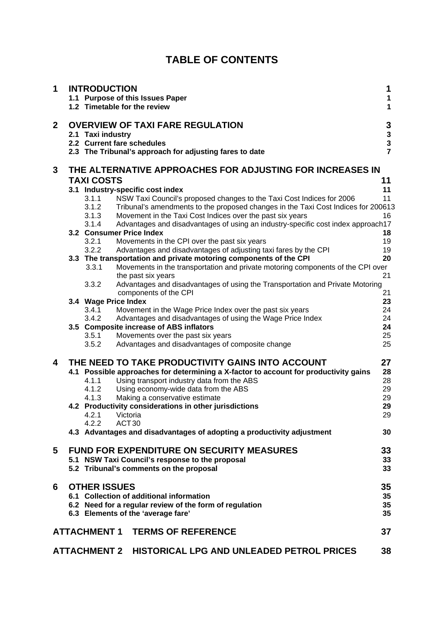| <b>TABLE OF CONTENTS</b> |  |
|--------------------------|--|
|--------------------------|--|

| 1            | <b>INTRODUCTION</b>      | 1.1 Purpose of this Issues Paper<br>1.2 Timetable for the review                                                                                           | 1<br>1<br>1                          |
|--------------|--------------------------|------------------------------------------------------------------------------------------------------------------------------------------------------------|--------------------------------------|
| $\mathbf{2}$ | 2.1 Taxi industry        | <b>OVERVIEW OF TAXI FARE REGULATION</b><br>2.2 Current fare schedules<br>2.3 The Tribunal's approach for adjusting fares to date                           | 3<br>$\frac{3}{3}$<br>$\overline{7}$ |
| 3            |                          | THE ALTERNATIVE APPROACHES FOR ADJUSTING FOR INCREASES IN                                                                                                  |                                      |
|              | <b>TAXI COSTS</b>        |                                                                                                                                                            | 11                                   |
|              |                          | 3.1 Industry-specific cost index                                                                                                                           | 11<br>11                             |
|              | 3.1.1<br>3.1.2           | NSW Taxi Council's proposed changes to the Taxi Cost Indices for 2006<br>Tribunal's amendments to the proposed changes in the Taxi Cost Indices for 200613 |                                      |
|              | 3.1.3                    | Movement in the Taxi Cost Indices over the past six years                                                                                                  | 16                                   |
|              | 3.1.4                    | Advantages and disadvantages of using an industry-specific cost index approach17                                                                           |                                      |
|              | 3.2 Consumer Price Index |                                                                                                                                                            | 18                                   |
|              | 3.2.1                    | Movements in the CPI over the past six years                                                                                                               | 19                                   |
|              | 3.2.2                    | Advantages and disadvantages of adjusting taxi fares by the CPI                                                                                            | 19                                   |
|              |                          | 3.3 The transportation and private motoring components of the CPI                                                                                          | 20                                   |
|              | 3.3.1                    | Movements in the transportation and private motoring components of the CPI over                                                                            |                                      |
|              |                          | the past six years                                                                                                                                         | 21                                   |
|              | 3.3.2                    | Advantages and disadvantages of using the Transportation and Private Motoring                                                                              |                                      |
|              |                          | components of the CPI                                                                                                                                      | 21                                   |
|              | 3.4 Wage Price Index     |                                                                                                                                                            | 23                                   |
|              | 3.4.1<br>3.4.2           | Movement in the Wage Price Index over the past six years<br>Advantages and disadvantages of using the Wage Price Index                                     | 24<br>24                             |
|              |                          | 3.5 Composite increase of ABS inflators                                                                                                                    | 24                                   |
|              | 3.5.1                    | Movements over the past six years                                                                                                                          | 25                                   |
|              | 3.5.2                    | Advantages and disadvantages of composite change                                                                                                           | 25                                   |
|              |                          |                                                                                                                                                            |                                      |
| 4            |                          | THE NEED TO TAKE PRODUCTIVITY GAINS INTO ACCOUNT                                                                                                           | 27                                   |
|              |                          | 4.1 Possible approaches for determining a X-factor to account for productivity gains                                                                       | 28                                   |
|              | 4.1.1                    | Using transport industry data from the ABS                                                                                                                 | 28                                   |
|              | 4.1.2                    | Using economy-wide data from the ABS                                                                                                                       | 29                                   |
|              | 4.1.3                    | Making a conservative estimate                                                                                                                             | 29                                   |
|              |                          | 4.2 Productivity considerations in other jurisdictions                                                                                                     | 29                                   |
|              | 4.2.1                    | Victoria                                                                                                                                                   | 29                                   |
|              | 4.2.2                    | ACT <sub>30</sub>                                                                                                                                          | 30                                   |
|              |                          | 4.3 Advantages and disadvantages of adopting a productivity adjustment                                                                                     |                                      |
| 5            |                          | <b>FUND FOR EXPENDITURE ON SECURITY MEASURES</b>                                                                                                           | 33                                   |
|              |                          | 5.1 NSW Taxi Council's response to the proposal                                                                                                            | 33                                   |
|              |                          | 5.2 Tribunal's comments on the proposal                                                                                                                    | 33                                   |
|              |                          |                                                                                                                                                            |                                      |
| 6            | <b>OTHER ISSUES</b>      |                                                                                                                                                            | 35                                   |
|              |                          | 6.1 Collection of additional information                                                                                                                   | 35                                   |
|              |                          | 6.2 Need for a regular review of the form of regulation                                                                                                    | 35                                   |
|              |                          | 6.3 Elements of the 'average fare'                                                                                                                         | 35                                   |
|              |                          |                                                                                                                                                            |                                      |
|              | <b>ATTACHMENT 1</b>      | <b>TERMS OF REFERENCE</b>                                                                                                                                  | 37                                   |
|              |                          |                                                                                                                                                            |                                      |
|              | <b>ATTACHMENT 2</b>      | HISTORICAL LPG AND UNLEADED PETROL PRICES                                                                                                                  | 38                                   |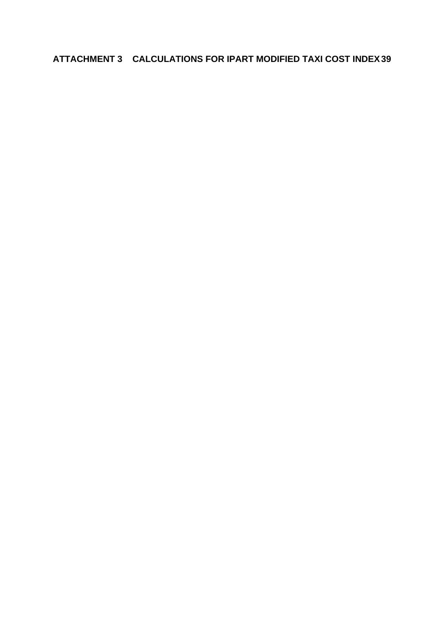**ATTACHMENT 3 CALCULATIONS FOR IPART MODIFIED TAXI COST INDEX 39**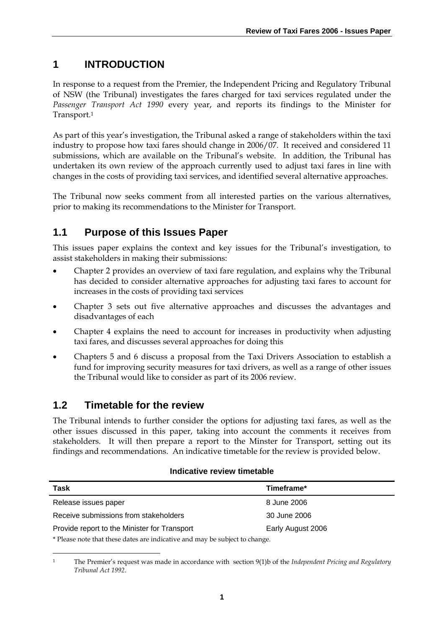# **1 INTRODUCTION**

In response to a request from the Premier, the Independent Pricing and Regulatory Tribunal of NSW (the Tribunal) investigates the fares charged for taxi services regulated under the *Passenger Transport Act 1990* every year, and reports its findings to the Minister for Transport.1

As part of this year's investigation, the Tribunal asked a range of stakeholders within the taxi industry to propose how taxi fares should change in 2006/07. It received and considered 11 submissions, which are available on the Tribunal's website. In addition, the Tribunal has undertaken its own review of the approach currently used to adjust taxi fares in line with changes in the costs of providing taxi services, and identified several alternative approaches.

The Tribunal now seeks comment from all interested parties on the various alternatives, prior to making its recommendations to the Minister for Transport.

# **1.1 Purpose of this Issues Paper**

This issues paper explains the context and key issues for the Tribunal's investigation, to assist stakeholders in making their submissions:

- Chapter 2 provides an overview of taxi fare regulation, and explains why the Tribunal has decided to consider alternative approaches for adjusting taxi fares to account for increases in the costs of providing taxi services
- Chapter 3 sets out five alternative approaches and discusses the advantages and disadvantages of each
- Chapter 4 explains the need to account for increases in productivity when adjusting taxi fares, and discusses several approaches for doing this
- Chapters 5 and 6 discuss a proposal from the Taxi Drivers Association to establish a fund for improving security measures for taxi drivers, as well as a range of other issues the Tribunal would like to consider as part of its 2006 review.

# **1.2 Timetable for the review**

<u>.</u>

The Tribunal intends to further consider the options for adjusting taxi fares, as well as the other issues discussed in this paper, taking into account the comments it receives from stakeholders. It will then prepare a report to the Minster for Transport, setting out its findings and recommendations. An indicative timetable for the review is provided below.

### **Indicative review timetable**

| Task                                                                                                                                                                                                                            | Timeframe*        |
|---------------------------------------------------------------------------------------------------------------------------------------------------------------------------------------------------------------------------------|-------------------|
| Release issues paper                                                                                                                                                                                                            | 8 June 2006       |
| Receive submissions from stakeholders                                                                                                                                                                                           | 30 June 2006      |
| Provide report to the Minister for Transport                                                                                                                                                                                    | Early August 2006 |
| $\star$ nt and a direct into the control of the final term of the final term of the final term of the final term of the final term of the final term of the final term of the final term of the final term of the final term of |                   |

\* Please note that these dates are indicative and may be subject to change.

<sup>1</sup> The Premier's request was made in accordance with section 9(1)b of the *Independent Pricing and Regulatory Tribunal Act 1992*.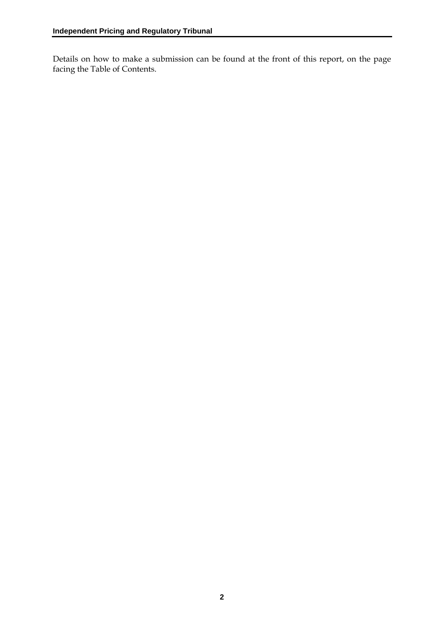Details on how to make a submission can be found at the front of this report, on the page facing the Table of Contents.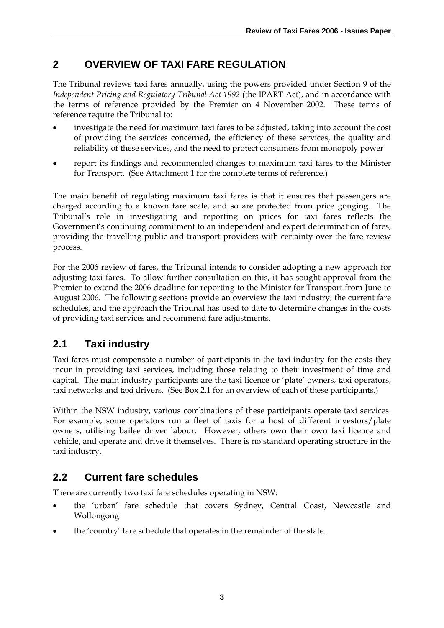# **2 OVERVIEW OF TAXI FARE REGULATION**

The Tribunal reviews taxi fares annually, using the powers provided under Section 9 of the *Independent Pricing and Regulatory Tribunal Act 1992* (the IPART Act), and in accordance with the terms of reference provided by the Premier on 4 November 2002. These terms of reference require the Tribunal to:

- investigate the need for maximum taxi fares to be adjusted, taking into account the cost of providing the services concerned, the efficiency of these services, the quality and reliability of these services, and the need to protect consumers from monopoly power
- report its findings and recommended changes to maximum taxi fares to the Minister for Transport. (See Attachment 1 for the complete terms of reference.)

The main benefit of regulating maximum taxi fares is that it ensures that passengers are charged according to a known fare scale, and so are protected from price gouging. The Tribunal's role in investigating and reporting on prices for taxi fares reflects the Government's continuing commitment to an independent and expert determination of fares, providing the travelling public and transport providers with certainty over the fare review process.

For the 2006 review of fares, the Tribunal intends to consider adopting a new approach for adjusting taxi fares. To allow further consultation on this, it has sought approval from the Premier to extend the 2006 deadline for reporting to the Minister for Transport from June to August 2006. The following sections provide an overview the taxi industry, the current fare schedules, and the approach the Tribunal has used to date to determine changes in the costs of providing taxi services and recommend fare adjustments.

# **2.1 Taxi industry**

Taxi fares must compensate a number of participants in the taxi industry for the costs they incur in providing taxi services, including those relating to their investment of time and capital. The main industry participants are the taxi licence or 'plate' owners, taxi operators, taxi networks and taxi drivers. (See Box 2.1 for an overview of each of these participants.)

Within the NSW industry, various combinations of these participants operate taxi services. For example, some operators run a fleet of taxis for a host of different investors/plate owners, utilising bailee driver labour. However, others own their own taxi licence and vehicle, and operate and drive it themselves. There is no standard operating structure in the taxi industry.

# **2.2 Current fare schedules**

There are currently two taxi fare schedules operating in NSW:

- the 'urban' fare schedule that covers Sydney, Central Coast, Newcastle and Wollongong
- the 'country' fare schedule that operates in the remainder of the state.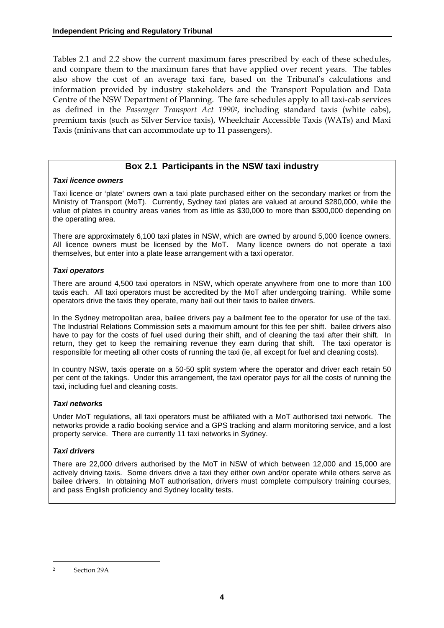Tables 2.1 and 2.2 show the current maximum fares prescribed by each of these schedules, and compare them to the maximum fares that have applied over recent years. The tables also show the cost of an average taxi fare, based on the Tribunal's calculations and information provided by industry stakeholders and the Transport Population and Data Centre of the NSW Department of Planning. The fare schedules apply to all taxi-cab services as defined in the *Passenger Transport Act 1990*2, including standard taxis (white cabs), premium taxis (such as Silver Service taxis), Wheelchair Accessible Taxis (WATs) and Maxi Taxis (minivans that can accommodate up to 11 passengers).

### **Box 2.1 Participants in the NSW taxi industry**

#### *Taxi licence owners*

Taxi licence or 'plate' owners own a taxi plate purchased either on the secondary market or from the Ministry of Transport (MoT). Currently, Sydney taxi plates are valued at around \$280,000, while the value of plates in country areas varies from as little as \$30,000 to more than \$300,000 depending on the operating area.

There are approximately 6,100 taxi plates in NSW, which are owned by around 5,000 licence owners. All licence owners must be licensed by the MoT. Many licence owners do not operate a taxi themselves, but enter into a plate lease arrangement with a taxi operator.

#### *Taxi operators*

There are around 4,500 taxi operators in NSW, which operate anywhere from one to more than 100 taxis each. All taxi operators must be accredited by the MoT after undergoing training. While some operators drive the taxis they operate, many bail out their taxis to bailee drivers.

In the Sydney metropolitan area, bailee drivers pay a bailment fee to the operator for use of the taxi. The Industrial Relations Commission sets a maximum amount for this fee per shift. bailee drivers also have to pay for the costs of fuel used during their shift, and of cleaning the taxi after their shift. In return, they get to keep the remaining revenue they earn during that shift. The taxi operator is responsible for meeting all other costs of running the taxi (ie, all except for fuel and cleaning costs).

In country NSW, taxis operate on a 50-50 split system where the operator and driver each retain 50 per cent of the takings. Under this arrangement, the taxi operator pays for all the costs of running the taxi, including fuel and cleaning costs.

#### *Taxi networks*

Under MoT regulations, all taxi operators must be affiliated with a MoT authorised taxi network. The networks provide a radio booking service and a GPS tracking and alarm monitoring service, and a lost property service. There are currently 11 taxi networks in Sydney.

#### *Taxi drivers*

There are 22,000 drivers authorised by the MoT in NSW of which between 12,000 and 15,000 are actively driving taxis. Some drivers drive a taxi they either own and/or operate while others serve as bailee drivers. In obtaining MoT authorisation, drivers must complete compulsory training courses, and pass English proficiency and Sydney locality tests.

<u>.</u>

<sup>2</sup> Section 29A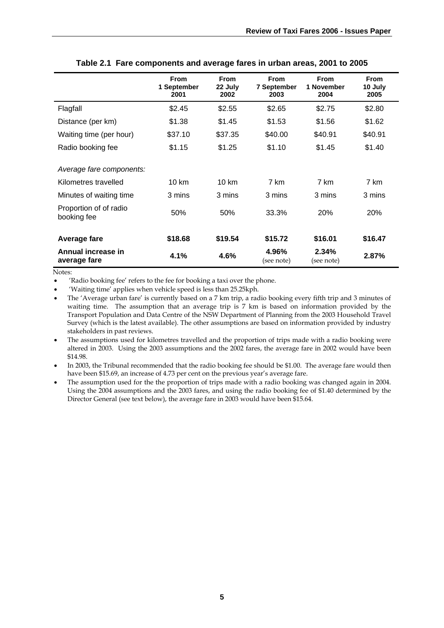|                                                                                                                      | <b>From</b><br>1 September<br>2001 | <b>From</b><br>22 July<br>2002 | <b>From</b><br>7 September<br>2003 | <b>From</b><br>1 November<br>2004 | <b>From</b><br>10 July<br>2005 |
|----------------------------------------------------------------------------------------------------------------------|------------------------------------|--------------------------------|------------------------------------|-----------------------------------|--------------------------------|
| Flagfall                                                                                                             | \$2.45                             | \$2.55                         | \$2.65                             | \$2.75                            | \$2.80                         |
| Distance (per km)                                                                                                    | \$1.38                             | \$1.45                         | \$1.53                             | \$1.56                            | \$1.62                         |
| Waiting time (per hour)                                                                                              | \$37.10                            | \$37.35                        | \$40.00                            | \$40.91                           | \$40.91                        |
| Radio booking fee                                                                                                    | \$1.15                             | \$1.25                         | \$1.10                             | \$1.45                            | \$1.40                         |
| Average fare components:<br>Kilometres travelled<br>Minutes of waiting time<br>Proportion of of radio<br>booking fee | $10 \text{ km}$<br>3 mins<br>50%   | 10 km<br>3 mins<br>50%         | 7 km<br>3 mins<br>33.3%            | 7 km<br>3 mins<br>20%             | 7 km<br>3 mins<br>20%          |
| Average fare                                                                                                         | \$18.68                            | \$19.54                        | \$15.72                            | \$16.01                           | \$16.47                        |
| Annual increase in<br>average fare                                                                                   | 4.1%                               | 4.6%                           | 4.96%<br>(see note)                | 2.34%<br>(see note)               | 2.87%                          |

**Table 2.1 Fare components and average fares in urban areas, 2001 to 2005** 

Notes:

• 'Radio booking fee' refers to the fee for booking a taxi over the phone.

• 'Waiting time' applies when vehicle speed is less than 25.25kph.

• The 'Average urban fare' is currently based on a 7 km trip, a radio booking every fifth trip and 3 minutes of waiting time. The assumption that an average trip is 7 km is based on information provided by the Transport Population and Data Centre of the NSW Department of Planning from the 2003 Household Travel Survey (which is the latest available). The other assumptions are based on information provided by industry stakeholders in past reviews.

• The assumptions used for kilometres travelled and the proportion of trips made with a radio booking were altered in 2003. Using the 2003 assumptions and the 2002 fares, the average fare in 2002 would have been \$14.98.

In 2003, the Tribunal recommended that the radio booking fee should be \$1.00. The average fare would then have been \$15.69, an increase of 4.73 per cent on the previous year's average fare.

• The assumption used for the the proportion of trips made with a radio booking was changed again in 2004. Using the 2004 assumptions and the 2003 fares, and using the radio booking fee of \$1.40 determined by the Director General (see text below), the average fare in 2003 would have been \$15.64.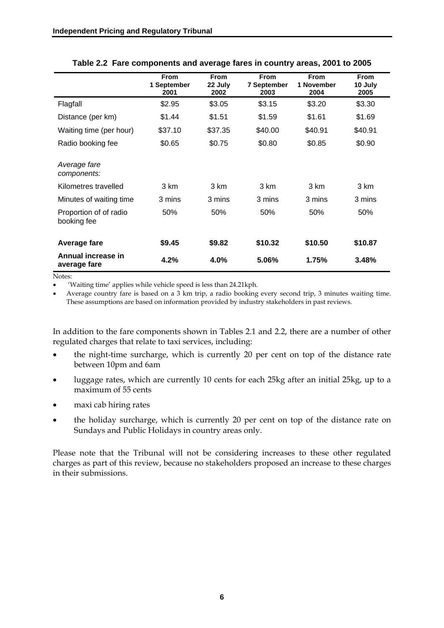|                                                                                                                         | <b>From</b><br>1 September<br>2001 | <b>From</b><br>22 July<br>2002 | <b>From</b><br><b>7 September</b><br>2003 | <b>From</b><br>1 November<br>2004 | <b>From</b><br>10 July<br>2005 |
|-------------------------------------------------------------------------------------------------------------------------|------------------------------------|--------------------------------|-------------------------------------------|-----------------------------------|--------------------------------|
| Flagfall                                                                                                                | \$2.95                             | \$3.05                         | \$3.15                                    | \$3.20                            | \$3.30                         |
| Distance (per km)                                                                                                       | \$1.44                             | \$1.51                         | \$1.59                                    | \$1.61                            | \$1.69                         |
| Waiting time (per hour)                                                                                                 | \$37.10                            | \$37.35                        | \$40.00                                   | \$40.91                           | \$40.91                        |
| Radio booking fee                                                                                                       | \$0.65                             | \$0.75                         | \$0.80                                    | \$0.85                            | \$0.90                         |
| Average fare<br>components:<br>Kilometres travelled<br>Minutes of waiting time<br>Proportion of of radio<br>booking fee | 3 km<br>3 mins<br>50%              | 3 km<br>3 mins<br>50%          | 3 km<br>3 mins<br>50%                     | 3 km<br>3 mins<br>50%             | 3 km<br>3 mins<br>50%          |
| Average fare<br>Annual increase in<br>average fare                                                                      | \$9.45<br>4.2%                     | \$9.82<br>4.0%                 | \$10.32<br>5.06%                          | \$10.50<br>1.75%                  | \$10.87<br>3.48%               |

#### **Table 2.2 Fare components and average fares in country areas, 2001 to 2005**

Notes:

• 'Waiting time' applies while vehicle speed is less than 24.21kph.

• Average country fare is based on a 3 km trip, a radio booking every second trip, 3 minutes waiting time. These assumptions are based on information provided by industry stakeholders in past reviews.

In addition to the fare components shown in Tables 2.1 and 2.2, there are a number of other regulated charges that relate to taxi services, including:

- the night-time surcharge, which is currently 20 per cent on top of the distance rate between 10pm and 6am
- luggage rates, which are currently 10 cents for each 25kg after an initial 25kg, up to a maximum of 55 cents
- maxi cab hiring rates
- the holiday surcharge, which is currently 20 per cent on top of the distance rate on Sundays and Public Holidays in country areas only.

Please note that the Tribunal will not be considering increases to these other regulated charges as part of this review, because no stakeholders proposed an increase to these charges in their submissions.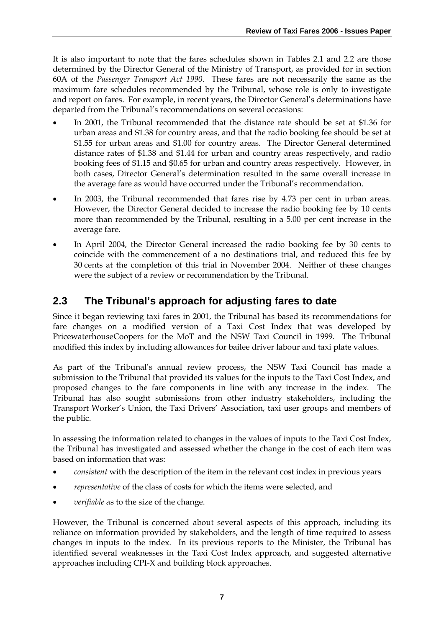It is also important to note that the fares schedules shown in Tables 2.1 and 2.2 are those determined by the Director General of the Ministry of Transport, as provided for in section 60A of the *Passenger Transport Act 1990*. These fares are not necessarily the same as the maximum fare schedules recommended by the Tribunal, whose role is only to investigate and report on fares. For example, in recent years, the Director General's determinations have departed from the Tribunal's recommendations on several occasions:

- In 2001, the Tribunal recommended that the distance rate should be set at \$1.36 for urban areas and \$1.38 for country areas, and that the radio booking fee should be set at \$1.55 for urban areas and \$1.00 for country areas. The Director General determined distance rates of \$1.38 and \$1.44 for urban and country areas respectively, and radio booking fees of \$1.15 and \$0.65 for urban and country areas respectively. However, in both cases, Director General's determination resulted in the same overall increase in the average fare as would have occurred under the Tribunal's recommendation.
- In 2003, the Tribunal recommended that fares rise by 4.73 per cent in urban areas. However, the Director General decided to increase the radio booking fee by 10 cents more than recommended by the Tribunal, resulting in a 5.00 per cent increase in the average fare.
- In April 2004, the Director General increased the radio booking fee by 30 cents to coincide with the commencement of a no destinations trial, and reduced this fee by 30 cents at the completion of this trial in November 2004. Neither of these changes were the subject of a review or recommendation by the Tribunal.

# **2.3 The Tribunal's approach for adjusting fares to date**

Since it began reviewing taxi fares in 2001, the Tribunal has based its recommendations for fare changes on a modified version of a Taxi Cost Index that was developed by PricewaterhouseCoopers for the MoT and the NSW Taxi Council in 1999. The Tribunal modified this index by including allowances for bailee driver labour and taxi plate values.

As part of the Tribunal's annual review process, the NSW Taxi Council has made a submission to the Tribunal that provided its values for the inputs to the Taxi Cost Index, and proposed changes to the fare components in line with any increase in the index. The Tribunal has also sought submissions from other industry stakeholders, including the Transport Worker's Union, the Taxi Drivers' Association, taxi user groups and members of the public.

In assessing the information related to changes in the values of inputs to the Taxi Cost Index, the Tribunal has investigated and assessed whether the change in the cost of each item was based on information that was:

- *consistent* with the description of the item in the relevant cost index in previous years
- *representative* of the class of costs for which the items were selected, and
- *verifiable* as to the size of the change.

However, the Tribunal is concerned about several aspects of this approach, including its reliance on information provided by stakeholders, and the length of time required to assess changes in inputs to the index. In its previous reports to the Minister, the Tribunal has identified several weaknesses in the Taxi Cost Index approach, and suggested alternative approaches including CPI-X and building block approaches.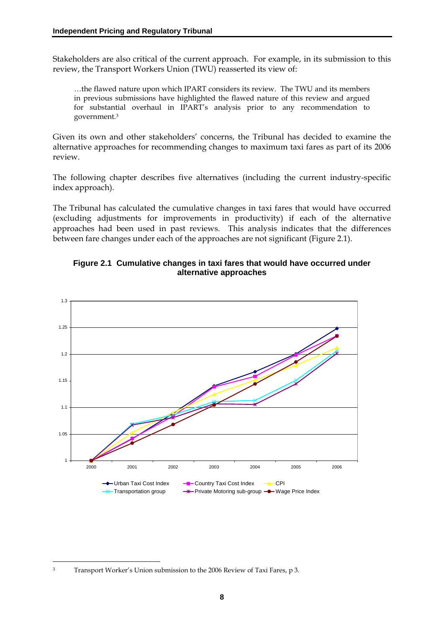Stakeholders are also critical of the current approach. For example, in its submission to this review, the Transport Workers Union (TWU) reasserted its view of:

…the flawed nature upon which IPART considers its review. The TWU and its members in previous submissions have highlighted the flawed nature of this review and argued for substantial overhaul in IPART's analysis prior to any recommendation to government.3

Given its own and other stakeholders' concerns, the Tribunal has decided to examine the alternative approaches for recommending changes to maximum taxi fares as part of its 2006 review.

The following chapter describes five alternatives (including the current industry-specific index approach).

The Tribunal has calculated the cumulative changes in taxi fares that would have occurred (excluding adjustments for improvements in productivity) if each of the alternative approaches had been used in past reviews. This analysis indicates that the differences between fare changes under each of the approaches are not significant (Figure 2.1).



#### **Figure 2.1 Cumulative changes in taxi fares that would have occurred under alternative approaches**

<sup>&</sup>lt;u>.</u> 3 Transport Worker's Union submission to the 2006 Review of Taxi Fares, p 3.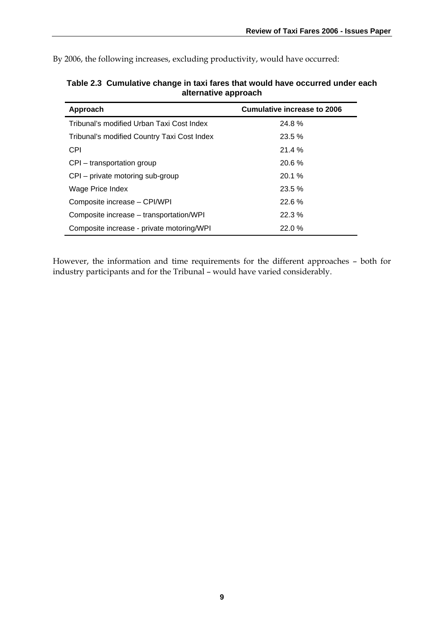By 2006, the following increases, excluding productivity, would have occurred:

| Approach                                    | <b>Cumulative increase to 2006</b> |
|---------------------------------------------|------------------------------------|
| Tribunal's modified Urban Taxi Cost Index   | 24.8%                              |
| Tribunal's modified Country Taxi Cost Index | 23.5%                              |
| <b>CPI</b>                                  | 21.4%                              |
| CPI – transportation group                  | 20.6%                              |
| CPI – private motoring sub-group            | 20.1%                              |
| Wage Price Index                            | 23.5%                              |
| Composite increase - CPI/WPI                | 22.6%                              |
| Composite increase – transportation/WPI     | 22.3%                              |
| Composite increase - private motoring/WPI   | 22.0%                              |

**Table 2.3 Cumulative change in taxi fares that would have occurred under each alternative approach** 

However, the information and time requirements for the different approaches – both for industry participants and for the Tribunal – would have varied considerably.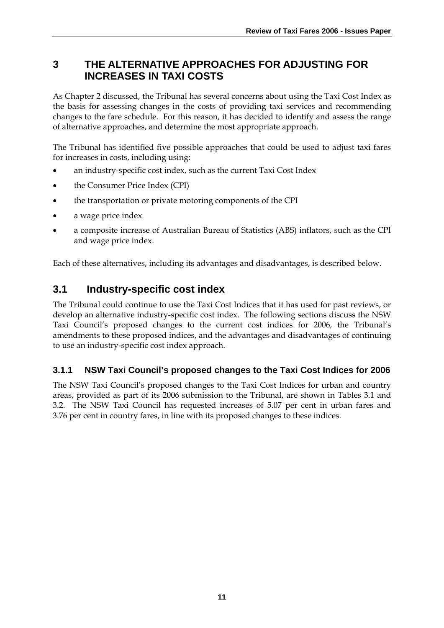# **3 THE ALTERNATIVE APPROACHES FOR ADJUSTING FOR INCREASES IN TAXI COSTS**

As Chapter 2 discussed, the Tribunal has several concerns about using the Taxi Cost Index as the basis for assessing changes in the costs of providing taxi services and recommending changes to the fare schedule. For this reason, it has decided to identify and assess the range of alternative approaches, and determine the most appropriate approach.

The Tribunal has identified five possible approaches that could be used to adjust taxi fares for increases in costs, including using:

- an industry-specific cost index, such as the current Taxi Cost Index
- the Consumer Price Index (CPI)
- the transportation or private motoring components of the CPI
- a wage price index
- a composite increase of Australian Bureau of Statistics (ABS) inflators, such as the CPI and wage price index.

Each of these alternatives, including its advantages and disadvantages, is described below.

# **3.1 Industry-specific cost index**

The Tribunal could continue to use the Taxi Cost Indices that it has used for past reviews, or develop an alternative industry-specific cost index. The following sections discuss the NSW Taxi Council's proposed changes to the current cost indices for 2006, the Tribunal's amendments to these proposed indices, and the advantages and disadvantages of continuing to use an industry-specific cost index approach.

### **3.1.1 NSW Taxi Council's proposed changes to the Taxi Cost Indices for 2006**

The NSW Taxi Council's proposed changes to the Taxi Cost Indices for urban and country areas, provided as part of its 2006 submission to the Tribunal, are shown in Tables 3.1 and 3.2. The NSW Taxi Council has requested increases of 5.07 per cent in urban fares and 3.76 per cent in country fares, in line with its proposed changes to these indices.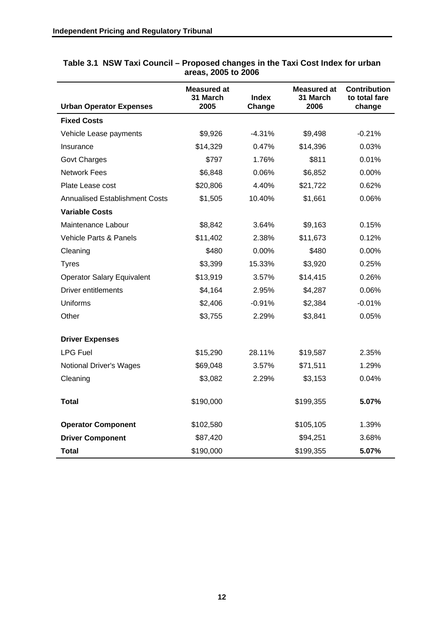|                                       | Measured at<br>31 March | <b>Index</b> | Measured at<br>31 March | <b>Contribution</b><br>to total fare |
|---------------------------------------|-------------------------|--------------|-------------------------|--------------------------------------|
| <b>Urban Operator Expenses</b>        | 2005                    | Change       | 2006                    | change                               |
| <b>Fixed Costs</b>                    |                         |              |                         |                                      |
| Vehicle Lease payments                | \$9,926                 | $-4.31%$     | \$9,498                 | $-0.21%$                             |
| Insurance                             | \$14,329                | 0.47%        | \$14,396                | 0.03%                                |
| <b>Govt Charges</b>                   | \$797                   | 1.76%        | \$811                   | 0.01%                                |
| <b>Network Fees</b>                   | \$6,848                 | 0.06%        | \$6,852                 | 0.00%                                |
| Plate Lease cost                      | \$20,806                | 4.40%        | \$21,722                | 0.62%                                |
| <b>Annualised Establishment Costs</b> | \$1,505                 | 10.40%       | \$1,661                 | 0.06%                                |
| <b>Variable Costs</b>                 |                         |              |                         |                                      |
| Maintenance Labour                    | \$8,842                 | 3.64%        | \$9,163                 | 0.15%                                |
| Vehicle Parts & Panels                | \$11,402                | 2.38%        | \$11,673                | 0.12%                                |
| Cleaning                              | \$480                   | 0.00%        | \$480                   | 0.00%                                |
| <b>Tyres</b>                          | \$3,399                 | 15.33%       | \$3,920                 | 0.25%                                |
| <b>Operator Salary Equivalent</b>     | \$13,919                | 3.57%        | \$14,415                | 0.26%                                |
| <b>Driver entitlements</b>            | \$4,164                 | 2.95%        | \$4,287                 | 0.06%                                |
| <b>Uniforms</b>                       | \$2,406                 | $-0.91%$     | \$2,384                 | $-0.01%$                             |
| Other                                 | \$3,755                 | 2.29%        | \$3,841                 | 0.05%                                |
|                                       |                         |              |                         |                                      |
| <b>Driver Expenses</b>                |                         |              |                         |                                      |
| <b>LPG Fuel</b>                       | \$15,290                | 28.11%       | \$19,587                | 2.35%                                |
| <b>Notional Driver's Wages</b>        | \$69,048                | 3.57%        | \$71,511                | 1.29%                                |
| Cleaning                              | \$3,082                 | 2.29%        | \$3,153                 | 0.04%                                |
| <b>Total</b>                          | \$190,000               |              | \$199,355               | 5.07%                                |
| <b>Operator Component</b>             | \$102,580               |              | \$105,105               | 1.39%                                |
| <b>Driver Component</b>               | \$87,420                |              | \$94,251                | 3.68%                                |
| Total                                 | \$190,000               |              | \$199,355               | 5.07%                                |

#### **Table 3.1 NSW Taxi Council – Proposed changes in the Taxi Cost Index for urban areas, 2005 to 2006**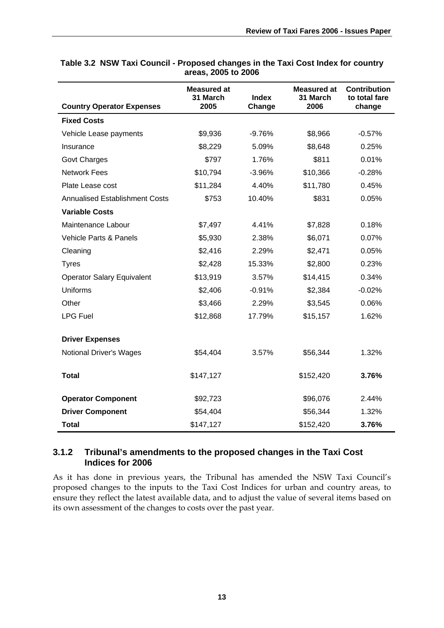| <b>Country Operator Expenses</b>      | <b>Measured at</b><br>31 March<br>2005 | <b>Index</b><br>Change | <b>Measured at</b><br>31 March<br>2006 | <b>Contribution</b><br>to total fare<br>change |
|---------------------------------------|----------------------------------------|------------------------|----------------------------------------|------------------------------------------------|
| <b>Fixed Costs</b>                    |                                        |                        |                                        |                                                |
| Vehicle Lease payments                | \$9,936                                | $-9.76%$               | \$8,966                                | $-0.57%$                                       |
| Insurance                             | \$8,229                                | 5.09%                  | \$8,648                                | 0.25%                                          |
| <b>Govt Charges</b>                   | \$797                                  | 1.76%                  | \$811                                  | 0.01%                                          |
| <b>Network Fees</b>                   | \$10,794                               | $-3.96%$               | \$10,366                               | $-0.28%$                                       |
| Plate Lease cost                      | \$11,284                               | 4.40%                  | \$11,780                               | 0.45%                                          |
| <b>Annualised Establishment Costs</b> | \$753                                  | 10.40%                 | \$831                                  | 0.05%                                          |
| <b>Variable Costs</b>                 |                                        |                        |                                        |                                                |
| Maintenance Labour                    | \$7,497                                | 4.41%                  | \$7,828                                | 0.18%                                          |
| <b>Vehicle Parts &amp; Panels</b>     | \$5,930                                | 2.38%                  | \$6,071                                | 0.07%                                          |
| Cleaning                              | \$2,416                                | 2.29%                  | \$2,471                                | 0.05%                                          |
| <b>Tyres</b>                          | \$2,428                                | 15.33%                 | \$2,800                                | 0.23%                                          |
| <b>Operator Salary Equivalent</b>     | \$13,919                               | 3.57%                  | \$14,415                               | 0.34%                                          |
| <b>Uniforms</b>                       | \$2,406                                | $-0.91%$               | \$2,384                                | $-0.02%$                                       |
| Other                                 | \$3,466                                | 2.29%                  | \$3,545                                | 0.06%                                          |
| <b>LPG Fuel</b>                       | \$12,868                               | 17.79%                 | \$15,157                               | 1.62%                                          |
| <b>Driver Expenses</b>                |                                        |                        |                                        |                                                |
| <b>Notional Driver's Wages</b>        | \$54,404                               | 3.57%                  | \$56,344                               | 1.32%                                          |
|                                       |                                        |                        |                                        |                                                |
| <b>Total</b>                          | \$147,127                              |                        | \$152,420                              | 3.76%                                          |
| <b>Operator Component</b>             | \$92,723                               |                        | \$96,076                               | 2.44%                                          |
| <b>Driver Component</b>               | \$54,404                               |                        | \$56,344                               | 1.32%                                          |
| <b>Total</b>                          | \$147,127                              |                        | \$152,420                              | 3.76%                                          |

#### **Table 3.2 NSW Taxi Council - Proposed changes in the Taxi Cost Index for country areas, 2005 to 2006**

### **3.1.2 Tribunal's amendments to the proposed changes in the Taxi Cost Indices for 2006**

As it has done in previous years, the Tribunal has amended the NSW Taxi Council's proposed changes to the inputs to the Taxi Cost Indices for urban and country areas, to ensure they reflect the latest available data, and to adjust the value of several items based on its own assessment of the changes to costs over the past year.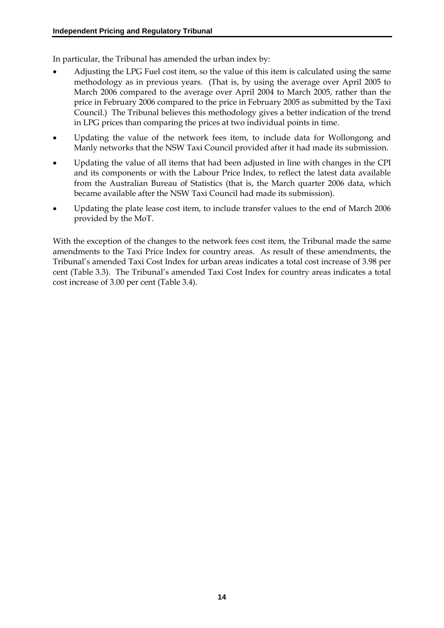In particular, the Tribunal has amended the urban index by:

- Adjusting the LPG Fuel cost item, so the value of this item is calculated using the same methodology as in previous years. (That is, by using the average over April 2005 to March 2006 compared to the average over April 2004 to March 2005, rather than the price in February 2006 compared to the price in February 2005 as submitted by the Taxi Council.) The Tribunal believes this methodology gives a better indication of the trend in LPG prices than comparing the prices at two individual points in time.
- Updating the value of the network fees item, to include data for Wollongong and Manly networks that the NSW Taxi Council provided after it had made its submission.
- Updating the value of all items that had been adjusted in line with changes in the CPI and its components or with the Labour Price Index, to reflect the latest data available from the Australian Bureau of Statistics (that is, the March quarter 2006 data, which became available after the NSW Taxi Council had made its submission).
- Updating the plate lease cost item, to include transfer values to the end of March 2006 provided by the MoT.

With the exception of the changes to the network fees cost item, the Tribunal made the same amendments to the Taxi Price Index for country areas. As result of these amendments, the Tribunal's amended Taxi Cost Index for urban areas indicates a total cost increase of 3.98 per cent (Table 3.3). The Tribunal's amended Taxi Cost Index for country areas indicates a total cost increase of 3.00 per cent (Table 3.4).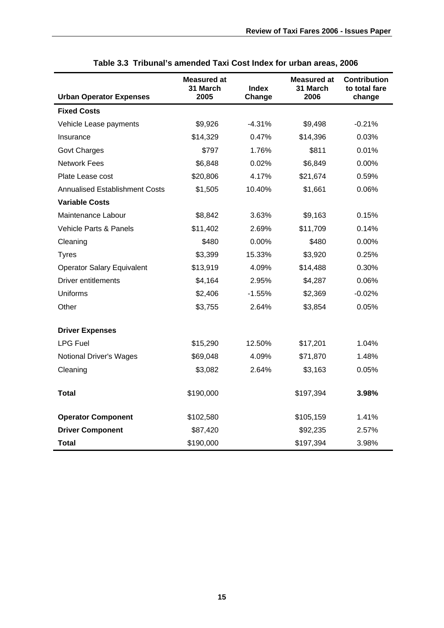| <b>Urban Operator Expenses</b>        | Measured at<br>31 March<br><b>Index</b><br>2005<br>Change |          | Measured at<br>31 March<br>2006 | Contribution<br>to total fare<br>change |
|---------------------------------------|-----------------------------------------------------------|----------|---------------------------------|-----------------------------------------|
| <b>Fixed Costs</b>                    |                                                           |          |                                 |                                         |
| Vehicle Lease payments                | \$9,926                                                   | $-4.31%$ | \$9,498                         | $-0.21%$                                |
| Insurance                             | \$14,329                                                  | 0.47%    | \$14,396                        | 0.03%                                   |
| <b>Govt Charges</b>                   | \$797                                                     | 1.76%    | \$811                           | 0.01%                                   |
| <b>Network Fees</b>                   | \$6,848                                                   | 0.02%    | \$6,849                         | 0.00%                                   |
|                                       |                                                           |          |                                 |                                         |
| Plate Lease cost                      | \$20,806                                                  | 4.17%    | \$21,674                        | 0.59%                                   |
| <b>Annualised Establishment Costs</b> | \$1,505                                                   | 10.40%   | \$1,661                         | 0.06%                                   |
| <b>Variable Costs</b>                 |                                                           |          |                                 |                                         |
| Maintenance Labour                    | \$8,842                                                   | 3.63%    | \$9,163                         | 0.15%                                   |
| Vehicle Parts & Panels                | \$11,402                                                  | 2.69%    | \$11,709                        | 0.14%                                   |
| Cleaning                              | \$480                                                     | $0.00\%$ | \$480                           | 0.00%                                   |
| <b>Tyres</b>                          | \$3,399                                                   | 15.33%   | \$3,920                         | 0.25%                                   |
| <b>Operator Salary Equivalent</b>     | \$13,919                                                  | 4.09%    | \$14,488                        | 0.30%                                   |
| <b>Driver entitlements</b>            | \$4,164                                                   | 2.95%    | \$4,287                         | 0.06%                                   |
| <b>Uniforms</b>                       | \$2,406                                                   | $-1.55%$ | \$2,369                         | $-0.02\%$                               |
| Other                                 | \$3,755                                                   | 2.64%    | \$3,854                         | 0.05%                                   |
| <b>Driver Expenses</b>                |                                                           |          |                                 |                                         |
| <b>LPG Fuel</b>                       | \$15,290                                                  | 12.50%   | \$17,201                        | 1.04%                                   |
| <b>Notional Driver's Wages</b>        | \$69,048                                                  | 4.09%    | \$71,870                        | 1.48%                                   |
| Cleaning                              | \$3,082                                                   | 2.64%    | \$3,163                         | 0.05%                                   |
| Total                                 | \$190,000                                                 |          | \$197,394                       | 3.98%                                   |
| <b>Operator Component</b>             | \$102,580                                                 |          | \$105,159                       | 1.41%                                   |
| <b>Driver Component</b>               | \$87,420                                                  |          | \$92,235                        | 2.57%                                   |
| Total                                 | \$190,000                                                 |          | \$197,394                       | 3.98%                                   |

| Table 3.3 Tribunal's amended Taxi Cost Index for urban areas, 2006 |
|--------------------------------------------------------------------|
|--------------------------------------------------------------------|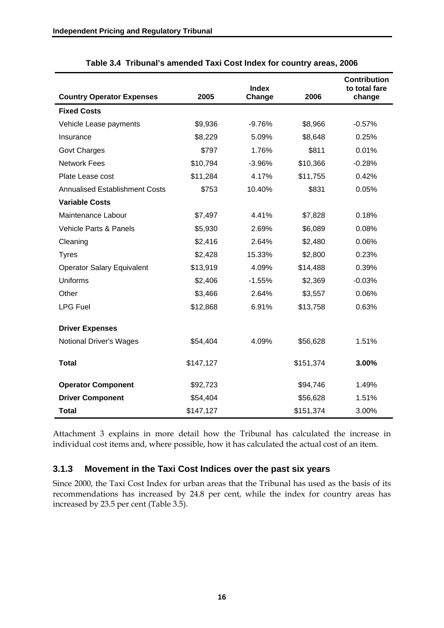|                                       |           | <b>Index</b> |           | <b>Contribution</b><br>to total fare |
|---------------------------------------|-----------|--------------|-----------|--------------------------------------|
| <b>Country Operator Expenses</b>      | 2005      | Change       | 2006      | change                               |
| <b>Fixed Costs</b>                    |           |              |           |                                      |
| Vehicle Lease payments                | \$9,936   | $-9.76%$     | \$8,966   | $-0.57%$                             |
| Insurance                             | \$8,229   | 5.09%        | \$8,648   | 0.25%                                |
| <b>Govt Charges</b>                   | \$797     | 1.76%        | \$811     | 0.01%                                |
| <b>Network Fees</b>                   | \$10,794  | $-3.96%$     | \$10,366  | $-0.28%$                             |
| Plate Lease cost                      | \$11,284  | 4.17%        | \$11,755  | 0.42%                                |
| <b>Annualised Establishment Costs</b> | \$753     | 10.40%       | \$831     | 0.05%                                |
| <b>Variable Costs</b>                 |           |              |           |                                      |
| Maintenance Labour                    | \$7,497   | 4.41%        | \$7,828   | 0.18%                                |
| Vehicle Parts & Panels                | \$5,930   | 2.69%        | \$6,089   | 0.08%                                |
| Cleaning                              | \$2,416   | 2.64%        | \$2,480   | 0.06%                                |
| <b>Tyres</b>                          | \$2,428   | 15.33%       | \$2,800   | 0.23%                                |
| <b>Operator Salary Equivalent</b>     | \$13,919  | 4.09%        | \$14,488  | 0.39%                                |
| Uniforms                              | \$2,406   | $-1.55%$     | \$2,369   | $-0.03%$                             |
| Other                                 | \$3,466   | 2.64%        | \$3,557   | 0.06%                                |
| <b>LPG Fuel</b>                       | \$12,868  | 6.91%        | \$13,758  | 0.63%                                |
| <b>Driver Expenses</b>                |           |              |           |                                      |
| <b>Notional Driver's Wages</b>        | \$54,404  | 4.09%        | \$56,628  | 1.51%                                |
|                                       |           |              |           |                                      |
| <b>Total</b>                          | \$147,127 |              | \$151,374 | 3.00%                                |
| <b>Operator Component</b>             | \$92,723  |              | \$94,746  | 1.49%                                |
| <b>Driver Component</b>               | \$54,404  |              | \$56,628  | 1.51%                                |
| <b>Total</b>                          | \$147,127 |              | \$151,374 | 3.00%                                |

|  | Table 3.4 Tribunal's amended Taxi Cost Index for country areas, 2006 |  |  |  |  |  |  |  |  |
|--|----------------------------------------------------------------------|--|--|--|--|--|--|--|--|
|--|----------------------------------------------------------------------|--|--|--|--|--|--|--|--|

Attachment 3 explains in more detail how the Tribunal has calculated the increase in individual cost items and, where possible, how it has calculated the actual cost of an item.

#### **3.1.3 Movement in the Taxi Cost Indices over the past six years**

Since 2000, the Taxi Cost Index for urban areas that the Tribunal has used as the basis of its recommendations has increased by 24.8 per cent, while the index for country areas has increased by 23.5 per cent (Table 3.5).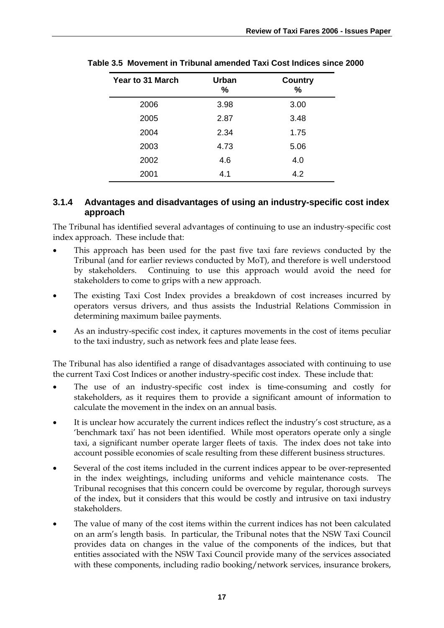| <b>Year to 31 March</b> | <b>Urban</b><br>% | <b>Country</b><br>% |
|-------------------------|-------------------|---------------------|
| 2006                    | 3.98              | 3.00                |
| 2005                    | 2.87              | 3.48                |
| 2004                    | 2.34              | 1.75                |
| 2003                    | 4.73              | 5.06                |
| 2002                    | 4.6               | 4.0                 |
| 2001                    | 4.1               | 4.2                 |

**Table 3.5 Movement in Tribunal amended Taxi Cost Indices since 2000** 

### **3.1.4 Advantages and disadvantages of using an industry-specific cost index approach**

The Tribunal has identified several advantages of continuing to use an industry-specific cost index approach. These include that:

- This approach has been used for the past five taxi fare reviews conducted by the Tribunal (and for earlier reviews conducted by MoT), and therefore is well understood by stakeholders. Continuing to use this approach would avoid the need for stakeholders to come to grips with a new approach.
- The existing Taxi Cost Index provides a breakdown of cost increases incurred by operators versus drivers, and thus assists the Industrial Relations Commission in determining maximum bailee payments.
- As an industry-specific cost index, it captures movements in the cost of items peculiar to the taxi industry, such as network fees and plate lease fees.

The Tribunal has also identified a range of disadvantages associated with continuing to use the current Taxi Cost Indices or another industry-specific cost index. These include that:

- The use of an industry-specific cost index is time-consuming and costly for stakeholders, as it requires them to provide a significant amount of information to calculate the movement in the index on an annual basis.
- It is unclear how accurately the current indices reflect the industry's cost structure, as a 'benchmark taxi' has not been identified. While most operators operate only a single taxi, a significant number operate larger fleets of taxis. The index does not take into account possible economies of scale resulting from these different business structures.
- Several of the cost items included in the current indices appear to be over-represented in the index weightings, including uniforms and vehicle maintenance costs. The Tribunal recognises that this concern could be overcome by regular, thorough surveys of the index, but it considers that this would be costly and intrusive on taxi industry stakeholders.
- The value of many of the cost items within the current indices has not been calculated on an arm's length basis. In particular, the Tribunal notes that the NSW Taxi Council provides data on changes in the value of the components of the indices, but that entities associated with the NSW Taxi Council provide many of the services associated with these components, including radio booking/network services, insurance brokers,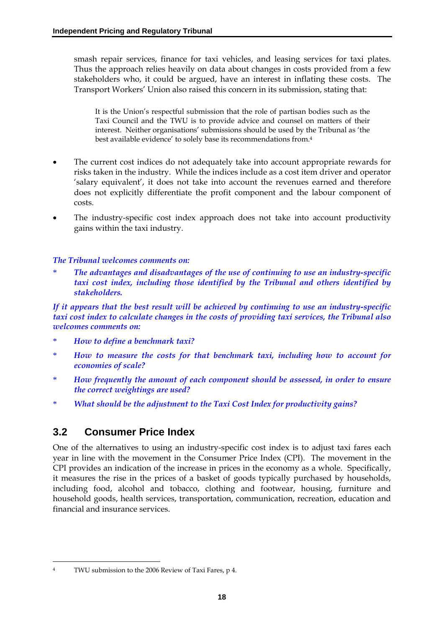smash repair services, finance for taxi vehicles, and leasing services for taxi plates. Thus the approach relies heavily on data about changes in costs provided from a few stakeholders who, it could be argued, have an interest in inflating these costs. The Transport Workers' Union also raised this concern in its submission, stating that:

It is the Union's respectful submission that the role of partisan bodies such as the Taxi Council and the TWU is to provide advice and counsel on matters of their interest. Neither organisations' submissions should be used by the Tribunal as 'the best available evidence' to solely base its recommendations from.4

- The current cost indices do not adequately take into account appropriate rewards for risks taken in the industry. While the indices include as a cost item driver and operator 'salary equivalent', it does not take into account the revenues earned and therefore does not explicitly differentiate the profit component and the labour component of costs.
- The industry-specific cost index approach does not take into account productivity gains within the taxi industry.

#### *The Tribunal welcomes comments on:*

\* *The advantages and disadvantages of the use of continuing to use an industry-specific taxi cost index, including those identified by the Tribunal and others identified by stakeholders.* 

*If it appears that the best result will be achieved by continuing to use an industry-specific taxi cost index to calculate changes in the costs of providing taxi services, the Tribunal also welcomes comments on:* 

- \* *How to define a benchmark taxi?*
- \* *How to measure the costs for that benchmark taxi, including how to account for economies of scale?*
- \* *How frequently the amount of each component should be assessed, in order to ensure the correct weightings are used?*
- \* *What should be the adjustment to the Taxi Cost Index for productivity gains?*

# **3.2 Consumer Price Index**

One of the alternatives to using an industry-specific cost index is to adjust taxi fares each year in line with the movement in the Consumer Price Index (CPI). The movement in the CPI provides an indication of the increase in prices in the economy as a whole. Specifically, it measures the rise in the prices of a basket of goods typically purchased by households, including food, alcohol and tobacco, clothing and footwear, housing, furniture and household goods, health services, transportation, communication, recreation, education and financial and insurance services.

<u>.</u>

TWU submission to the 2006 Review of Taxi Fares, p 4.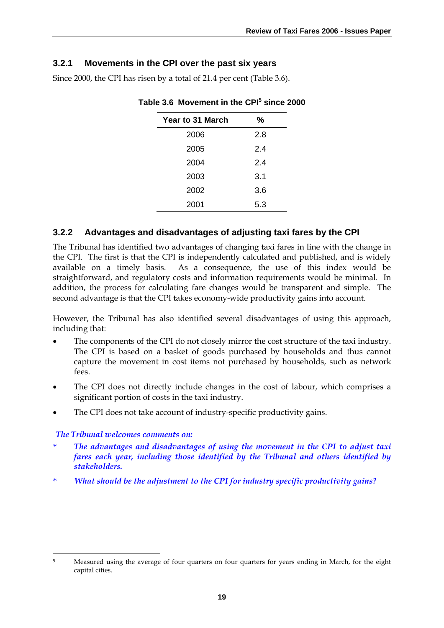## **3.2.1 Movements in the CPI over the past six years**

Since 2000, the CPI has risen by a total of 21.4 per cent (Table 3.6).

| Year to 31 March | ℅   |
|------------------|-----|
| 2006             | 2.8 |
| 2005             | 2.4 |
| 2004             | 2.4 |
| 2003             | 3.1 |
| 2002             | 3.6 |
| 2001             | 5.3 |

### Table 3.6 Movement in the CPI<sup>5</sup> since 2000

# **3.2.2 Advantages and disadvantages of adjusting taxi fares by the CPI**

The Tribunal has identified two advantages of changing taxi fares in line with the change in the CPI. The first is that the CPI is independently calculated and published, and is widely available on a timely basis. As a consequence, the use of this index would be straightforward, and regulatory costs and information requirements would be minimal. In addition, the process for calculating fare changes would be transparent and simple. The second advantage is that the CPI takes economy-wide productivity gains into account.

However, the Tribunal has also identified several disadvantages of using this approach, including that:

- The components of the CPI do not closely mirror the cost structure of the taxi industry. The CPI is based on a basket of goods purchased by households and thus cannot capture the movement in cost items not purchased by households, such as network fees.
- The CPI does not directly include changes in the cost of labour, which comprises a significant portion of costs in the taxi industry.
- The CPI does not take account of industry-specific productivity gains.

### *The Tribunal welcomes comments on:*

- \* *The advantages and disadvantages of using the movement in the CPI to adjust taxi fares each year, including those identified by the Tribunal and others identified by stakeholders.*
- \* *What should be the adjustment to the CPI for industry specific productivity gains?*

<sup>&</sup>lt;u>.</u> 5 Measured using the average of four quarters on four quarters for years ending in March, for the eight capital cities.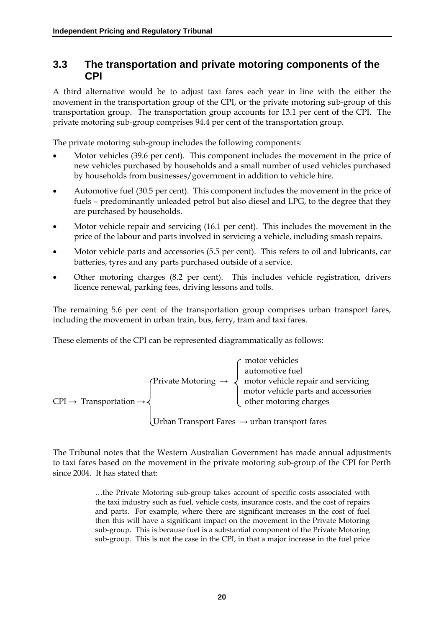# **3.3 The transportation and private motoring components of the CPI**

A third alternative would be to adjust taxi fares each year in line with the either the movement in the transportation group of the CPI, or the private motoring sub-group of this transportation group. The transportation group accounts for 13.1 per cent of the CPI. The private motoring sub-group comprises 94.4 per cent of the transportation group.

The private motoring sub-group includes the following components:

- Motor vehicles (39.6 per cent). This component includes the movement in the price of new vehicles purchased by households and a small number of used vehicles purchased by households from businesses/government in addition to vehicle hire.
- Automotive fuel (30.5 per cent). This component includes the movement in the price of fuels – predominantly unleaded petrol but also diesel and LPG, to the degree that they are purchased by households.
- Motor vehicle repair and servicing (16.1 per cent). This includes the movement in the price of the labour and parts involved in servicing a vehicle, including smash repairs.
- Motor vehicle parts and accessories (5.5 per cent). This refers to oil and lubricants, car batteries, tyres and any parts purchased outside of a service.
- Other motoring charges (8.2 per cent). This includes vehicle registration, drivers licence renewal, parking fees, driving lessons and tolls.

The remaining 5.6 per cent of the transportation group comprises urban transport fares, including the movement in urban train, bus, ferry, tram and taxi fares.

These elements of the CPI can be represented diagrammatically as follows:

$$
CPI \rightarrow Transportation \rightarrow
$$
\n
$$
P\rightarrow Transportion \rightarrow
$$
\n
$$
P\rightarrow Transportion \rightarrow
$$
\n
$$
P\rightarrow Transportion \rightarrow
$$
\n
$$
P\rightarrow Transportion \rightarrow
$$
\n
$$
P\rightarrow Transportion \rightarrow
$$
\n
$$
P\rightarrow Transportion \rightarrow
$$
\n
$$
P\rightarrow Transportion \rightarrow
$$
\n
$$
P\rightarrow Transportion \rightarrow
$$
\n
$$
P\rightarrow Transportion \rightarrow
$$
\n
$$
P\rightarrow Transportion \rightarrow
$$
\n
$$
P\rightarrow Transportion \rightarrow
$$
\n
$$
P\rightarrow Transportion \rightarrow
$$
\n
$$
P\rightarrow Transportion \rightarrow
$$
\n
$$
P\rightarrow Transportion \rightarrow
$$
\n
$$
P\rightarrow Ttransportion \rightarrow
$$
\n
$$
P\rightarrow Ttransportion \rightarrow
$$
\n
$$
P\rightarrow Ttransportion \rightarrow
$$
\n
$$
P\rightarrow Ttransportion \rightarrow
$$
\n
$$
P\rightarrow Ttransportion \rightarrow
$$
\n
$$
P\rightarrow Ttransportion \rightarrow
$$
\n
$$
P\rightarrow Ttransportion \rightarrow
$$
\n
$$
P\rightarrow Ttransportion \rightarrow
$$
\n
$$
P\rightarrow Ttransportion \rightarrow
$$
\n
$$
P\rightarrow Ttransportion \rightarrow
$$
\n
$$
P\rightarrow Ttransportion \rightarrow
$$
\n
$$
P\rightarrow Ttransportion \rightarrow
$$
\n
$$
P\rightarrow Ttransportion \rightarrow
$$
\n
$$
P\rightarrow Ttransportion \rightarrow
$$
\n
$$
P\rightarrow Ttransportion \rightarrow
$$
\n
$$
P\rightarrow Ttransportion \rightarrow
$$
\n
$$
P\rightarrow Ttransportion \rightarrow
$$
\n
$$
P\rightarrow Ttransportion \rightarrow
$$
\n
$$
P\rightarrow Ttransportion \rightarrow
$$
\n
$$
P\rightarrow Ttransportion \rightarrow
$$
\n
$$
P\rightarrow Ttransportion \rightarrow
$$
\n
$$
P\rightarrow Ttransportion \rightarrow
$$
\n
$$
P\rightarrow Ttransposition \rightarrow
$$
\n
$$
P\rightarrow Ttransposition \rightarrow
$$
\n
$$
P\rightarrow Ttransposition \rightarrow
$$
\n
$$
P\rightarrow Ttransposition \rightarrow
$$
\n
$$
P\rightarrow Ttransposition \rightarrow
$$
\n
$$
P\rightarrow T
$$

Urban Transport Fares  $\rightarrow$  urban transport fares

The Tribunal notes that the Western Australian Government has made annual adjustments to taxi fares based on the movement in the private motoring sub-group of the CPI for Perth since 2004. It has stated that:

> …the Private Motoring sub-group takes account of specific costs associated with the taxi industry such as fuel, vehicle costs, insurance costs, and the cost of repairs and parts. For example, where there are significant increases in the cost of fuel then this will have a significant impact on the movement in the Private Motoring sub-group. This is because fuel is a substantial component of the Private Motoring sub-group. This is not the case in the CPI, in that a major increase in the fuel price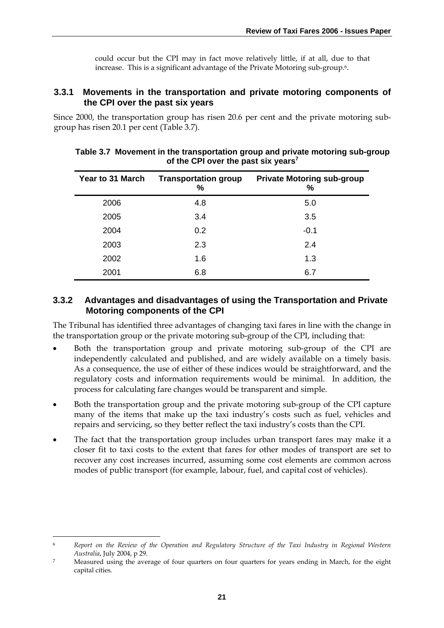could occur but the CPI may in fact move relatively little, if at all, due to that increase. This is a significant advantage of the Private Motoring sub-group.6.

### **3.3.1 Movements in the transportation and private motoring components of the CPI over the past six years**

Since 2000, the transportation group has risen 20.6 per cent and the private motoring subgroup has risen 20.1 per cent (Table 3.7).

| Year to 31 March | <b>Transportation group</b><br>℅ | <b>Private Motoring sub-group</b><br>℅ |  |
|------------------|----------------------------------|----------------------------------------|--|
| 2006             | 4.8                              | 5.0                                    |  |
| 2005             | 3.4                              | 3.5                                    |  |
| 2004             | 0.2                              | $-0.1$                                 |  |
| 2003             | 2.3                              | 2.4                                    |  |
| 2002             | 1.6                              | 1.3                                    |  |
| 2001             | 6.8                              | 6.7                                    |  |

#### **Table 3.7 Movement in the transportation group and private motoring sub-group of the CPI over the past six years<sup>7</sup>**

### **3.3.2 Advantages and disadvantages of using the Transportation and Private Motoring components of the CPI**

The Tribunal has identified three advantages of changing taxi fares in line with the change in the transportation group or the private motoring sub-group of the CPI, including that:

- Both the transportation group and private motoring sub-group of the CPI are independently calculated and published, and are widely available on a timely basis. As a consequence, the use of either of these indices would be straightforward, and the regulatory costs and information requirements would be minimal. In addition, the process for calculating fare changes would be transparent and simple.
- Both the transportation group and the private motoring sub-group of the CPI capture many of the items that make up the taxi industry's costs such as fuel, vehicles and repairs and servicing, so they better reflect the taxi industry's costs than the CPI.
- The fact that the transportation group includes urban transport fares may make it a closer fit to taxi costs to the extent that fares for other modes of transport are set to recover any cost increases incurred, assuming some cost elements are common across modes of public transport (for example, labour, fuel, and capital cost of vehicles).

-

<sup>6</sup> *Report on the Review of the Operation and Regulatory Structure of the Taxi Industry in Regional Western Australia*, July 2004, p 29.

<sup>7</sup> Measured using the average of four quarters on four quarters for years ending in March, for the eight capital cities.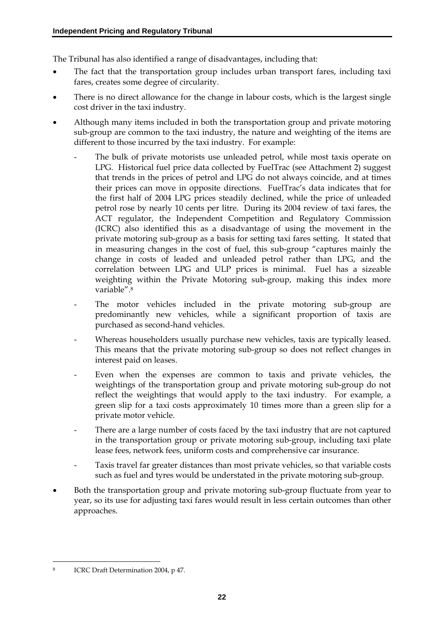The Tribunal has also identified a range of disadvantages, including that:

- The fact that the transportation group includes urban transport fares, including taxi fares, creates some degree of circularity.
- There is no direct allowance for the change in labour costs, which is the largest single cost driver in the taxi industry.
- Although many items included in both the transportation group and private motoring sub-group are common to the taxi industry, the nature and weighting of the items are different to those incurred by the taxi industry. For example:
	- The bulk of private motorists use unleaded petrol, while most taxis operate on LPG. Historical fuel price data collected by FuelTrac (see Attachment 2) suggest that trends in the prices of petrol and LPG do not always coincide, and at times their prices can move in opposite directions. FuelTrac's data indicates that for the first half of 2004 LPG prices steadily declined, while the price of unleaded petrol rose by nearly 10 cents per litre. During its 2004 review of taxi fares, the ACT regulator, the Independent Competition and Regulatory Commission (ICRC) also identified this as a disadvantage of using the movement in the private motoring sub-group as a basis for setting taxi fares setting. It stated that in measuring changes in the cost of fuel, this sub-group "captures mainly the change in costs of leaded and unleaded petrol rather than LPG, and the correlation between LPG and ULP prices is minimal. Fuel has a sizeable weighting within the Private Motoring sub-group, making this index more variable".8
	- The motor vehicles included in the private motoring sub-group are predominantly new vehicles, while a significant proportion of taxis are purchased as second-hand vehicles.
	- Whereas householders usually purchase new vehicles, taxis are typically leased. This means that the private motoring sub-group so does not reflect changes in interest paid on leases.
	- Even when the expenses are common to taxis and private vehicles, the weightings of the transportation group and private motoring sub-group do not reflect the weightings that would apply to the taxi industry. For example, a green slip for a taxi costs approximately 10 times more than a green slip for a private motor vehicle.
	- There are a large number of costs faced by the taxi industry that are not captured in the transportation group or private motoring sub-group, including taxi plate lease fees, network fees, uniform costs and comprehensive car insurance.
	- Taxis travel far greater distances than most private vehicles, so that variable costs such as fuel and tyres would be understated in the private motoring sub-group.
- Both the transportation group and private motoring sub-group fluctuate from year to year, so its use for adjusting taxi fares would result in less certain outcomes than other approaches.

<sup>&</sup>lt;u>.</u> ICRC Draft Determination 2004, p 47.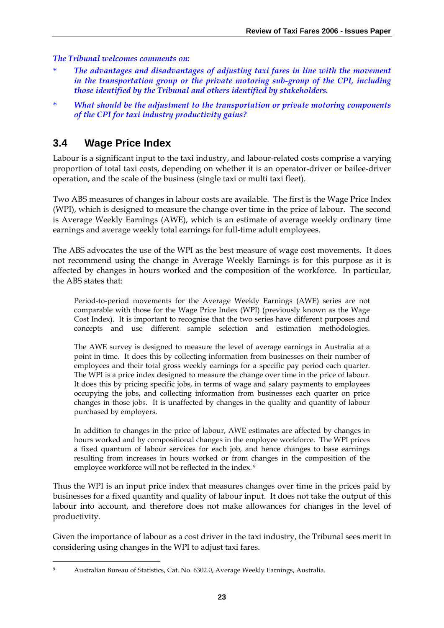*The Tribunal welcomes comments on:* 

- \* *The advantages and disadvantages of adjusting taxi fares in line with the movement in the transportation group or the private motoring sub-group of the CPI, including those identified by the Tribunal and others identified by stakeholders.*
- \* *What should be the adjustment to the transportation or private motoring components of the CPI for taxi industry productivity gains?*

# **3.4 Wage Price Index**

Labour is a significant input to the taxi industry, and labour-related costs comprise a varying proportion of total taxi costs, depending on whether it is an operator-driver or bailee-driver operation, and the scale of the business (single taxi or multi taxi fleet).

Two ABS measures of changes in labour costs are available. The first is the Wage Price Index (WPI), which is designed to measure the change over time in the price of labour. The second is Average Weekly Earnings (AWE), which is an estimate of average weekly ordinary time earnings and average weekly total earnings for full-time adult employees.

The ABS advocates the use of the WPI as the best measure of wage cost movements. It does not recommend using the change in Average Weekly Earnings is for this purpose as it is affected by changes in hours worked and the composition of the workforce. In particular, the ABS states that:

Period-to-period movements for the Average Weekly Earnings (AWE) series are not comparable with those for the Wage Price Index (WPI) (previously known as the Wage Cost Index). It is important to recognise that the two series have different purposes and concepts and use different sample selection and estimation methodologies.

The AWE survey is designed to measure the level of average earnings in Australia at a point in time. It does this by collecting information from businesses on their number of employees and their total gross weekly earnings for a specific pay period each quarter. The WPI is a price index designed to measure the change over time in the price of labour. It does this by pricing specific jobs, in terms of wage and salary payments to employees occupying the jobs, and collecting information from businesses each quarter on price changes in those jobs. It is unaffected by changes in the quality and quantity of labour purchased by employers.

In addition to changes in the price of labour, AWE estimates are affected by changes in hours worked and by compositional changes in the employee workforce. The WPI prices a fixed quantum of labour services for each job, and hence changes to base earnings resulting from increases in hours worked or from changes in the composition of the employee workforce will not be reflected in the index. 9

Thus the WPI is an input price index that measures changes over time in the prices paid by businesses for a fixed quantity and quality of labour input. It does not take the output of this labour into account, and therefore does not make allowances for changes in the level of productivity.

Given the importance of labour as a cost driver in the taxi industry, the Tribunal sees merit in considering using changes in the WPI to adjust taxi fares.

<sup>&</sup>lt;u>.</u> 9 Australian Bureau of Statistics, Cat. No. 6302.0, Average Weekly Earnings, Australia.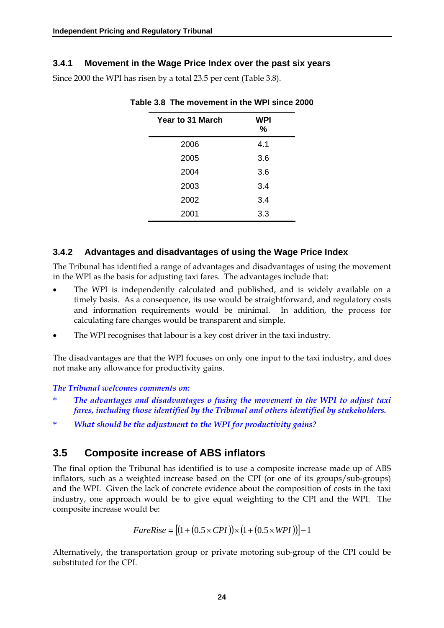### **3.4.1 Movement in the Wage Price Index over the past six years**

Since 2000 the WPI has risen by a total 23.5 per cent (Table 3.8).

| <b>Year to 31 March</b> | <b>WPI</b><br>% |
|-------------------------|-----------------|
| 2006                    | 4.1             |
| 2005                    | 3.6             |
| 2004                    | 3.6             |
| 2003                    | 3.4             |
| 2002                    | 3.4             |
| 2001                    | 3.3             |

**Table 3.8 The movement in the WPI since 2000** 

### **3.4.2 Advantages and disadvantages of using the Wage Price Index**

The Tribunal has identified a range of advantages and disadvantages of using the movement in the WPI as the basis for adjusting taxi fares. The advantages include that:

- The WPI is independently calculated and published, and is widely available on a timely basis. As a consequence, its use would be straightforward, and regulatory costs and information requirements would be minimal. In addition, the process for calculating fare changes would be transparent and simple.
- The WPI recognises that labour is a key cost driver in the taxi industry.

The disadvantages are that the WPI focuses on only one input to the taxi industry, and does not make any allowance for productivity gains.

#### *The Tribunal welcomes comments on:*

- \* *The advantages and disadvantages o fusing the movement in the WPI to adjust taxi fares, including those identified by the Tribunal and others identified by stakeholders.*
- \* *What should be the adjustment to the WPI for productivity gains?*

# **3.5 Composite increase of ABS inflators**

The final option the Tribunal has identified is to use a composite increase made up of ABS inflators, such as a weighted increase based on the CPI (or one of its groups/sub-groups) and the WPI. Given the lack of concrete evidence about the composition of costs in the taxi industry, one approach would be to give equal weighting to the CPI and the WPI. The composite increase would be:

$$
FareRise = [(1 + (0.5 \times CPU)) \times (1 + (0.5 \times WPI))]-1
$$

Alternatively, the transportation group or private motoring sub-group of the CPI could be substituted for the CPI.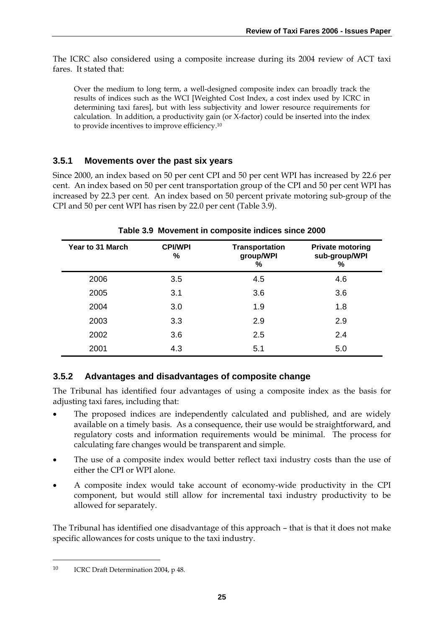The ICRC also considered using a composite increase during its 2004 review of ACT taxi fares. It stated that:

Over the medium to long term, a well-designed composite index can broadly track the results of indices such as the WCI [Weighted Cost Index, a cost index used by ICRC in determining taxi fares], but with less subjectivity and lower resource requirements for calculation. In addition, a productivity gain (or X-factor) could be inserted into the index to provide incentives to improve efficiency.10

### **3.5.1 Movements over the past six years**

Since 2000, an index based on 50 per cent CPI and 50 per cent WPI has increased by 22.6 per cent. An index based on 50 per cent transportation group of the CPI and 50 per cent WPI has increased by 22.3 per cent. An index based on 50 percent private motoring sub-group of the CPI and 50 per cent WPI has risen by 22.0 per cent (Table 3.9).

| Year to 31 March | <b>CPI/WPI</b><br>% | <b>Transportation</b><br>group/WPI<br>$\%$ | <b>Private motoring</b><br>sub-group/WPI<br>% |
|------------------|---------------------|--------------------------------------------|-----------------------------------------------|
| 2006             | 3.5                 | 4.5                                        | 4.6                                           |
| 2005             | 3.1                 | 3.6                                        | 3.6                                           |
| 2004             | 3.0                 | 1.9                                        | 1.8                                           |
| 2003             | 3.3                 | 2.9                                        | 2.9                                           |
| 2002             | 3.6                 | 2.5                                        | 2.4                                           |
| 2001             | 4.3                 | 5.1                                        | 5.0                                           |

**Table 3.9 Movement in composite indices since 2000** 

### **3.5.2 Advantages and disadvantages of composite change**

The Tribunal has identified four advantages of using a composite index as the basis for adjusting taxi fares, including that:

- The proposed indices are independently calculated and published, and are widely available on a timely basis. As a consequence, their use would be straightforward, and regulatory costs and information requirements would be minimal. The process for calculating fare changes would be transparent and simple.
- The use of a composite index would better reflect taxi industry costs than the use of either the CPI or WPI alone.
- A composite index would take account of economy-wide productivity in the CPI component, but would still allow for incremental taxi industry productivity to be allowed for separately.

The Tribunal has identified one disadvantage of this approach – that is that it does not make specific allowances for costs unique to the taxi industry.

-

<sup>10</sup> ICRC Draft Determination 2004, p 48.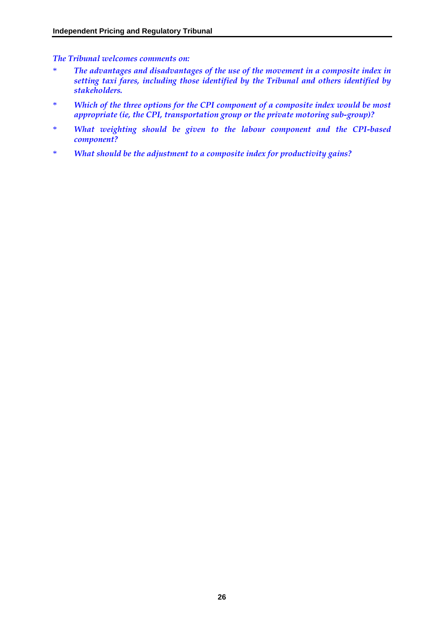*The Tribunal welcomes comments on:* 

- \* *The advantages and disadvantages of the use of the movement in a composite index in setting taxi fares, including those identified by the Tribunal and others identified by stakeholders.*
- \* *Which of the three options for the CPI component of a composite index would be most appropriate (ie, the CPI, transportation group or the private motoring sub-group)?*
- \* *What weighting should be given to the labour component and the CPI-based component?*
- \* *What should be the adjustment to a composite index for productivity gains?*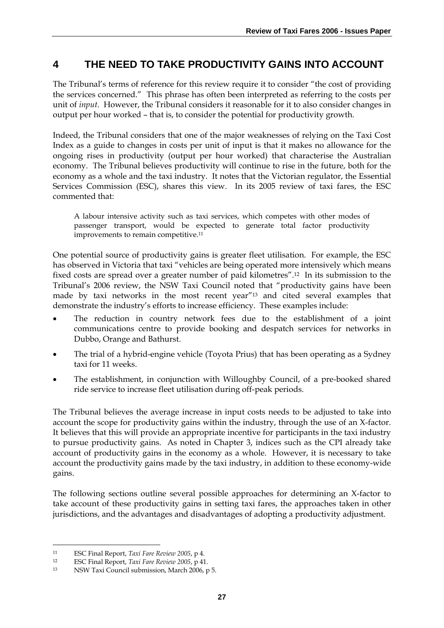# **4 THE NEED TO TAKE PRODUCTIVITY GAINS INTO ACCOUNT**

The Tribunal's terms of reference for this review require it to consider "the cost of providing the services concerned." This phrase has often been interpreted as referring to the costs per unit of *input*. However, the Tribunal considers it reasonable for it to also consider changes in output per hour worked – that is, to consider the potential for productivity growth.

Indeed, the Tribunal considers that one of the major weaknesses of relying on the Taxi Cost Index as a guide to changes in costs per unit of input is that it makes no allowance for the ongoing rises in productivity (output per hour worked) that characterise the Australian economy. The Tribunal believes productivity will continue to rise in the future, both for the economy as a whole and the taxi industry. It notes that the Victorian regulator, the Essential Services Commission (ESC), shares this view. In its 2005 review of taxi fares, the ESC commented that:

A labour intensive activity such as taxi services, which competes with other modes of passenger transport, would be expected to generate total factor productivity improvements to remain competitive.11

One potential source of productivity gains is greater fleet utilisation. For example, the ESC has observed in Victoria that taxi "vehicles are being operated more intensively which means fixed costs are spread over a greater number of paid kilometres".12 In its submission to the Tribunal's 2006 review, the NSW Taxi Council noted that "productivity gains have been made by taxi networks in the most recent year"13 and cited several examples that demonstrate the industry's efforts to increase efficiency. These examples include:

- The reduction in country network fees due to the establishment of a joint communications centre to provide booking and despatch services for networks in Dubbo, Orange and Bathurst.
- The trial of a hybrid-engine vehicle (Toyota Prius) that has been operating as a Sydney taxi for 11 weeks.
- The establishment, in conjunction with Willoughby Council, of a pre-booked shared ride service to increase fleet utilisation during off-peak periods.

The Tribunal believes the average increase in input costs needs to be adjusted to take into account the scope for productivity gains within the industry, through the use of an X-factor. It believes that this will provide an appropriate incentive for participants in the taxi industry to pursue productivity gains. As noted in Chapter 3, indices such as the CPI already take account of productivity gains in the economy as a whole. However, it is necessary to take account the productivity gains made by the taxi industry, in addition to these economy-wide gains.

The following sections outline several possible approaches for determining an X-factor to take account of these productivity gains in setting taxi fares, the approaches taken in other jurisdictions, and the advantages and disadvantages of adopting a productivity adjustment.

<u>.</u>

<sup>11</sup> ESC Final Report, *Taxi Fare Review 2005*, p 4.

<sup>12</sup> ESC Final Report, *Taxi Fare Review 2005*, p 41.

<sup>13</sup> NSW Taxi Council submission, March 2006, p 5.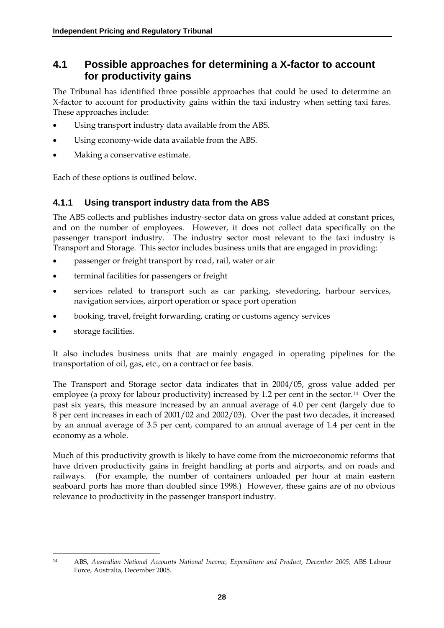# **4.1 Possible approaches for determining a X-factor to account for productivity gains**

The Tribunal has identified three possible approaches that could be used to determine an X-factor to account for productivity gains within the taxi industry when setting taxi fares. These approaches include:

- Using transport industry data available from the ABS.
- Using economy-wide data available from the ABS.
- Making a conservative estimate.

Each of these options is outlined below.

### **4.1.1 Using transport industry data from the ABS**

The ABS collects and publishes industry-sector data on gross value added at constant prices, and on the number of employees. However, it does not collect data specifically on the passenger transport industry. The industry sector most relevant to the taxi industry is Transport and Storage. This sector includes business units that are engaged in providing:

- passenger or freight transport by road, rail, water or air
- terminal facilities for passengers or freight
- services related to transport such as car parking, stevedoring, harbour services, navigation services, airport operation or space port operation
- booking, travel, freight forwarding, crating or customs agency services
- storage facilities.

It also includes business units that are mainly engaged in operating pipelines for the transportation of oil, gas, etc., on a contract or fee basis.

The Transport and Storage sector data indicates that in 2004/05, gross value added per employee (a proxy for labour productivity) increased by 1.2 per cent in the sector.<sup>14</sup> Over the past six years, this measure increased by an annual average of 4.0 per cent (largely due to 8 per cent increases in each of 2001/02 and 2002/03). Over the past two decades, it increased by an annual average of 3.5 per cent, compared to an annual average of 1.4 per cent in the economy as a whole.

Much of this productivity growth is likely to have come from the microeconomic reforms that have driven productivity gains in freight handling at ports and airports, and on roads and railways. (For example, the number of containers unloaded per hour at main eastern seaboard ports has more than doubled since 1998.) However, these gains are of no obvious relevance to productivity in the passenger transport industry.

<sup>&</sup>lt;u>.</u> 14 ABS, *Australian National Accounts National Income, Expenditure and Product, December 2005;* ABS Labour Force, Australia, December 2005.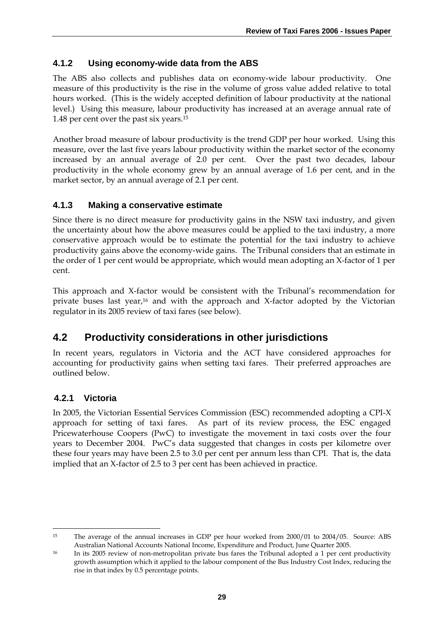### **4.1.2 Using economy-wide data from the ABS**

The ABS also collects and publishes data on economy-wide labour productivity. One measure of this productivity is the rise in the volume of gross value added relative to total hours worked. (This is the widely accepted definition of labour productivity at the national level.) Using this measure, labour productivity has increased at an average annual rate of 1.48 per cent over the past six years.15

Another broad measure of labour productivity is the trend GDP per hour worked. Using this measure, over the last five years labour productivity within the market sector of the economy increased by an annual average of 2.0 per cent. Over the past two decades, labour productivity in the whole economy grew by an annual average of 1.6 per cent, and in the market sector, by an annual average of 2.1 per cent.

## **4.1.3 Making a conservative estimate**

Since there is no direct measure for productivity gains in the NSW taxi industry, and given the uncertainty about how the above measures could be applied to the taxi industry, a more conservative approach would be to estimate the potential for the taxi industry to achieve productivity gains above the economy-wide gains. The Tribunal considers that an estimate in the order of 1 per cent would be appropriate, which would mean adopting an X-factor of 1 per cent.

This approach and X-factor would be consistent with the Tribunal's recommendation for private buses last year,<sup>16</sup> and with the approach and X-factor adopted by the Victorian regulator in its 2005 review of taxi fares (see below).

# **4.2 Productivity considerations in other jurisdictions**

In recent years, regulators in Victoria and the ACT have considered approaches for accounting for productivity gains when setting taxi fares. Their preferred approaches are outlined below.

# **4.2.1 Victoria**

In 2005, the Victorian Essential Services Commission (ESC) recommended adopting a CPI-X approach for setting of taxi fares. As part of its review process, the ESC engaged Pricewaterhouse Coopers (PwC) to investigate the movement in taxi costs over the four years to December 2004. PwC's data suggested that changes in costs per kilometre over these four years may have been 2.5 to 3.0 per cent per annum less than CPI. That is, the data implied that an X-factor of 2.5 to 3 per cent has been achieved in practice.

<sup>&</sup>lt;u>.</u> <sup>15</sup> The average of the annual increases in GDP per hour worked from 2000/01 to 2004/05. Source: ABS Australian National Accounts National Income, Expenditure and Product, June Quarter 2005.

<sup>&</sup>lt;sup>16</sup> In its 2005 review of non-metropolitan private bus fares the Tribunal adopted a 1 per cent productivity growth assumption which it applied to the labour component of the Bus Industry Cost Index, reducing the rise in that index by 0.5 percentage points.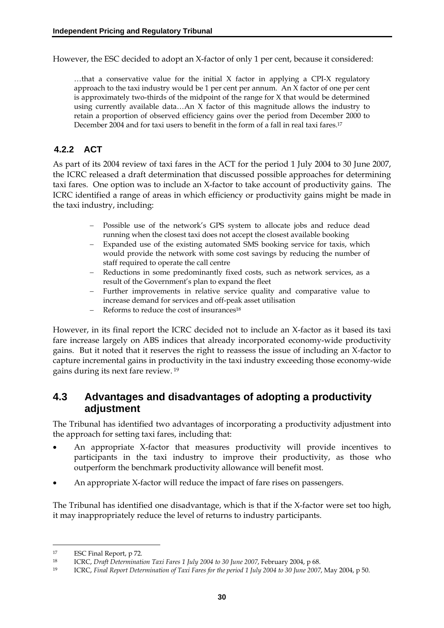However, the ESC decided to adopt an X-factor of only 1 per cent, because it considered:

 $\dots$  that a conservative value for the initial X factor in applying a CPI-X regulatory approach to the taxi industry would be 1 per cent per annum. An X factor of one per cent is approximately two-thirds of the midpoint of the range for X that would be determined using currently available data…An X factor of this magnitude allows the industry to retain a proportion of observed efficiency gains over the period from December 2000 to December 2004 and for taxi users to benefit in the form of a fall in real taxi fares.17

# **4.2.2 ACT**

As part of its 2004 review of taxi fares in the ACT for the period 1 July 2004 to 30 June 2007, the ICRC released a draft determination that discussed possible approaches for determining taxi fares. One option was to include an X-factor to take account of productivity gains. The ICRC identified a range of areas in which efficiency or productivity gains might be made in the taxi industry, including:

- − Possible use of the network's GPS system to allocate jobs and reduce dead running when the closest taxi does not accept the closest available booking
- Expanded use of the existing automated SMS booking service for taxis, which would provide the network with some cost savings by reducing the number of staff required to operate the call centre
- − Reductions in some predominantly fixed costs, such as network services, as a result of the Government's plan to expand the fleet
- − Further improvements in relative service quality and comparative value to increase demand for services and off-peak asset utilisation
- − Reforms to reduce the cost of insurances18

However, in its final report the ICRC decided not to include an X-factor as it based its taxi fare increase largely on ABS indices that already incorporated economy-wide productivity gains. But it noted that it reserves the right to reassess the issue of including an X-factor to capture incremental gains in productivity in the taxi industry exceeding those economy-wide gains during its next fare review. 19

# **4.3 Advantages and disadvantages of adopting a productivity adjustment**

The Tribunal has identified two advantages of incorporating a productivity adjustment into the approach for setting taxi fares, including that:

- An appropriate X-factor that measures productivity will provide incentives to participants in the taxi industry to improve their productivity, as those who outperform the benchmark productivity allowance will benefit most.
- An appropriate X-factor will reduce the impact of fare rises on passengers.

The Tribunal has identified one disadvantage, which is that if the X-factor were set too high, it may inappropriately reduce the level of returns to industry participants.

<u>.</u>

<sup>17</sup> ESC Final Report, p 72.

<sup>18</sup> ICRC, *Draft Determination Taxi Fares 1 July 2004 to 30 June 2007*, February 2004, p 68.

<sup>19</sup> ICRC, *Final Report Determination of Taxi Fares for the period 1 July 2004 to 30 June 2007*, May 2004, p 50.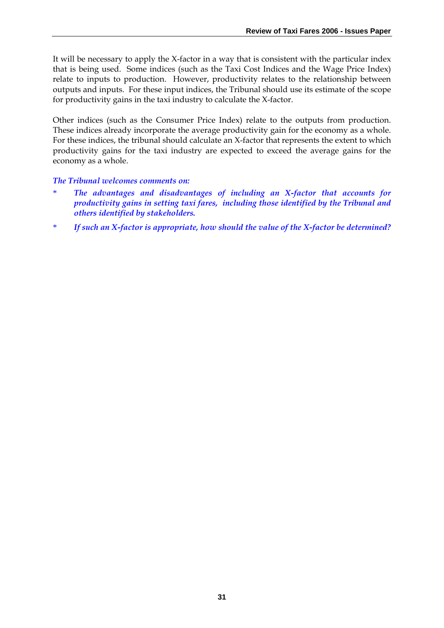It will be necessary to apply the X-factor in a way that is consistent with the particular index that is being used. Some indices (such as the Taxi Cost Indices and the Wage Price Index) relate to inputs to production. However, productivity relates to the relationship between outputs and inputs. For these input indices, the Tribunal should use its estimate of the scope for productivity gains in the taxi industry to calculate the X-factor.

Other indices (such as the Consumer Price Index) relate to the outputs from production. These indices already incorporate the average productivity gain for the economy as a whole. For these indices, the tribunal should calculate an X-factor that represents the extent to which productivity gains for the taxi industry are expected to exceed the average gains for the economy as a whole.

#### *The Tribunal welcomes comments on:*

- \* *The advantages and disadvantages of including an X-factor that accounts for productivity gains in setting taxi fares, including those identified by the Tribunal and others identified by stakeholders.*
- \* *If such an X-factor is appropriate, how should the value of the X-factor be determined?*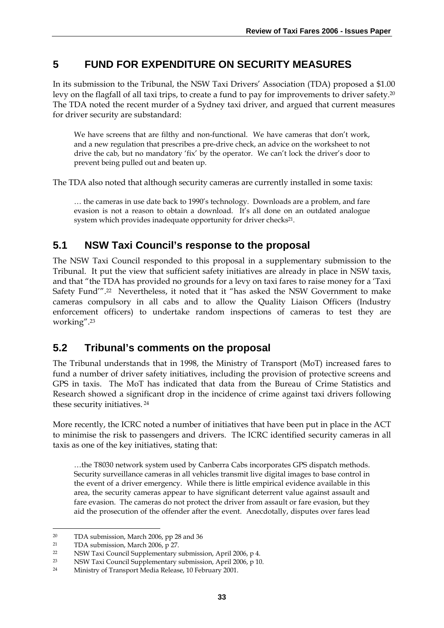# **5 FUND FOR EXPENDITURE ON SECURITY MEASURES**

In its submission to the Tribunal, the NSW Taxi Drivers' Association (TDA) proposed a \$1.00 levy on the flagfall of all taxi trips, to create a fund to pay for improvements to driver safety.<sup>20</sup> The TDA noted the recent murder of a Sydney taxi driver, and argued that current measures for driver security are substandard:

We have screens that are filthy and non-functional. We have cameras that don't work, and a new regulation that prescribes a pre-drive check, an advice on the worksheet to not drive the cab, but no mandatory 'fix' by the operator. We can't lock the driver's door to prevent being pulled out and beaten up.

The TDA also noted that although security cameras are currently installed in some taxis:

… the cameras in use date back to 1990's technology. Downloads are a problem, and fare evasion is not a reason to obtain a download. It's all done on an outdated analogue system which provides inadequate opportunity for driver checks<sup>21</sup>.

# **5.1 NSW Taxi Council's response to the proposal**

The NSW Taxi Council responded to this proposal in a supplementary submission to the Tribunal. It put the view that sufficient safety initiatives are already in place in NSW taxis, and that "the TDA has provided no grounds for a levy on taxi fares to raise money for a 'Taxi Safety Fund'".22 Nevertheless, it noted that it "has asked the NSW Government to make cameras compulsory in all cabs and to allow the Quality Liaison Officers (Industry enforcement officers) to undertake random inspections of cameras to test they are working".23

# **5.2 Tribunal's comments on the proposal**

The Tribunal understands that in 1998, the Ministry of Transport (MoT) increased fares to fund a number of driver safety initiatives, including the provision of protective screens and GPS in taxis. The MoT has indicated that data from the Bureau of Crime Statistics and Research showed a significant drop in the incidence of crime against taxi drivers following these security initiatives. 24

More recently, the ICRC noted a number of initiatives that have been put in place in the ACT to minimise the risk to passengers and drivers. The ICRC identified security cameras in all taxis as one of the key initiatives, stating that:

…the T8030 network system used by Canberra Cabs incorporates GPS dispatch methods. Security surveillance cameras in all vehicles transmit live digital images to base control in the event of a driver emergency. While there is little empirical evidence available in this area, the security cameras appear to have significant deterrent value against assault and fare evasion. The cameras do not protect the driver from assault or fare evasion, but they aid the prosecution of the offender after the event. Anecdotally, disputes over fares lead

<u>.</u>

<sup>20</sup> TDA submission, March 2006, pp 28 and 36

<sup>21</sup> TDA submission, March 2006, p 27.

<sup>22</sup> NSW Taxi Council Supplementary submission, April 2006, p 4.

<sup>23</sup> NSW Taxi Council Supplementary submission, April 2006, p 10.

<sup>24</sup> Ministry of Transport Media Release, 10 February 2001.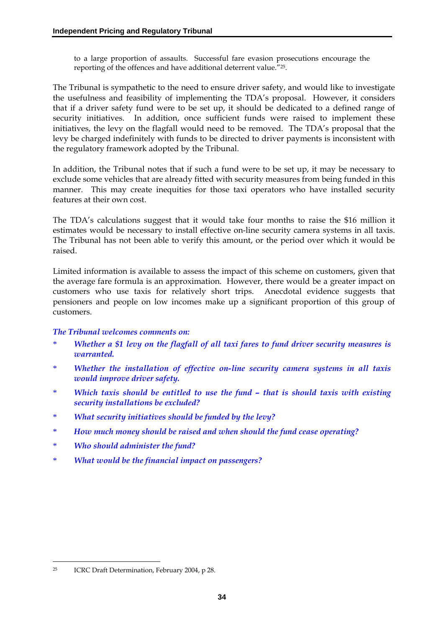to a large proportion of assaults. Successful fare evasion prosecutions encourage the reporting of the offences and have additional deterrent value."25.

The Tribunal is sympathetic to the need to ensure driver safety, and would like to investigate the usefulness and feasibility of implementing the TDA's proposal. However, it considers that if a driver safety fund were to be set up, it should be dedicated to a defined range of security initiatives. In addition, once sufficient funds were raised to implement these initiatives, the levy on the flagfall would need to be removed. The TDA's proposal that the levy be charged indefinitely with funds to be directed to driver payments is inconsistent with the regulatory framework adopted by the Tribunal.

In addition, the Tribunal notes that if such a fund were to be set up, it may be necessary to exclude some vehicles that are already fitted with security measures from being funded in this manner. This may create inequities for those taxi operators who have installed security features at their own cost.

The TDA's calculations suggest that it would take four months to raise the \$16 million it estimates would be necessary to install effective on-line security camera systems in all taxis. The Tribunal has not been able to verify this amount, or the period over which it would be raised.

Limited information is available to assess the impact of this scheme on customers, given that the average fare formula is an approximation. However, there would be a greater impact on customers who use taxis for relatively short trips. Anecdotal evidence suggests that pensioners and people on low incomes make up a significant proportion of this group of customers.

#### *The Tribunal welcomes comments on:*

- \* *Whether a \$1 levy on the flagfall of all taxi fares to fund driver security measures is warranted.*
- \* *Whether the installation of effective on-line security camera systems in all taxis would improve driver safety.*
- \* *Which taxis should be entitled to use the fund that is should taxis with existing security installations be excluded?*
- \* *What security initiatives should be funded by the levy?*
- \* *How much money should be raised and when should the fund cease operating?*
- \* *Who should administer the fund?*
- \* *What would be the financial impact on passengers?*

<u>.</u>

<sup>25</sup> ICRC Draft Determination, February 2004, p 28.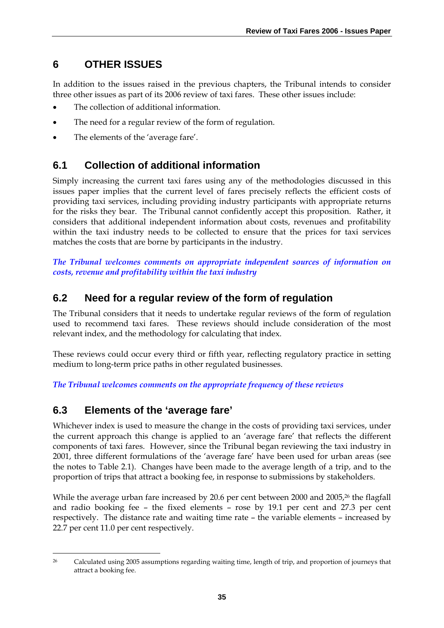# **6 OTHER ISSUES**

In addition to the issues raised in the previous chapters, the Tribunal intends to consider three other issues as part of its 2006 review of taxi fares. These other issues include:

- The collection of additional information.
- The need for a regular review of the form of regulation.
- The elements of the 'average fare'.

# **6.1 Collection of additional information**

Simply increasing the current taxi fares using any of the methodologies discussed in this issues paper implies that the current level of fares precisely reflects the efficient costs of providing taxi services, including providing industry participants with appropriate returns for the risks they bear. The Tribunal cannot confidently accept this proposition. Rather, it considers that additional independent information about costs, revenues and profitability within the taxi industry needs to be collected to ensure that the prices for taxi services matches the costs that are borne by participants in the industry.

*The Tribunal welcomes comments on appropriate independent sources of information on costs, revenue and profitability within the taxi industry* 

# **6.2 Need for a regular review of the form of regulation**

The Tribunal considers that it needs to undertake regular reviews of the form of regulation used to recommend taxi fares. These reviews should include consideration of the most relevant index, and the methodology for calculating that index.

These reviews could occur every third or fifth year, reflecting regulatory practice in setting medium to long-term price paths in other regulated businesses.

*The Tribunal welcomes comments on the appropriate frequency of these reviews* 

# **6.3 Elements of the 'average fare'**

Whichever index is used to measure the change in the costs of providing taxi services, under the current approach this change is applied to an 'average fare' that reflects the different components of taxi fares. However, since the Tribunal began reviewing the taxi industry in 2001, three different formulations of the 'average fare' have been used for urban areas (see the notes to Table 2.1). Changes have been made to the average length of a trip, and to the proportion of trips that attract a booking fee, in response to submissions by stakeholders.

While the average urban fare increased by 20.6 per cent between 2000 and 2005,<sup>26</sup> the flagfall and radio booking fee – the fixed elements – rose by 19.1 per cent and 27.3 per cent respectively. The distance rate and waiting time rate – the variable elements – increased by 22.7 per cent 11.0 per cent respectively.

<sup>&</sup>lt;u>.</u> 26 Calculated using 2005 assumptions regarding waiting time, length of trip, and proportion of journeys that attract a booking fee.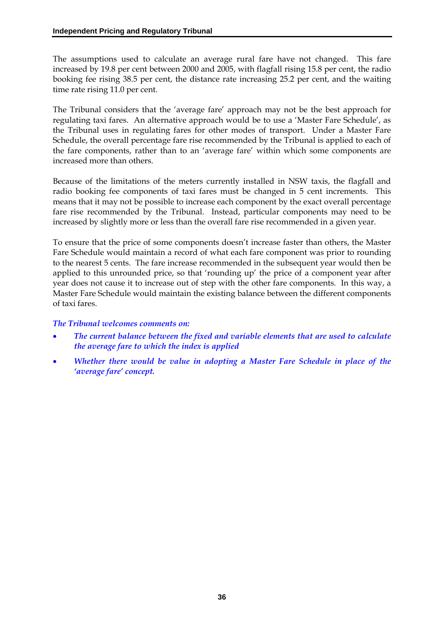The assumptions used to calculate an average rural fare have not changed. This fare increased by 19.8 per cent between 2000 and 2005, with flagfall rising 15.8 per cent, the radio booking fee rising 38.5 per cent, the distance rate increasing 25.2 per cent, and the waiting time rate rising 11.0 per cent.

The Tribunal considers that the 'average fare' approach may not be the best approach for regulating taxi fares. An alternative approach would be to use a 'Master Fare Schedule', as the Tribunal uses in regulating fares for other modes of transport. Under a Master Fare Schedule, the overall percentage fare rise recommended by the Tribunal is applied to each of the fare components, rather than to an 'average fare' within which some components are increased more than others.

Because of the limitations of the meters currently installed in NSW taxis, the flagfall and radio booking fee components of taxi fares must be changed in 5 cent increments. This means that it may not be possible to increase each component by the exact overall percentage fare rise recommended by the Tribunal. Instead, particular components may need to be increased by slightly more or less than the overall fare rise recommended in a given year.

To ensure that the price of some components doesn't increase faster than others, the Master Fare Schedule would maintain a record of what each fare component was prior to rounding to the nearest 5 cents. The fare increase recommended in the subsequent year would then be applied to this unrounded price, so that 'rounding up' the price of a component year after year does not cause it to increase out of step with the other fare components. In this way, a Master Fare Schedule would maintain the existing balance between the different components of taxi fares.

#### *The Tribunal welcomes comments on:*

- *The current balance between the fixed and variable elements that are used to calculate the average fare to which the index is applied*
- *Whether there would be value in adopting a Master Fare Schedule in place of the 'average fare' concept.*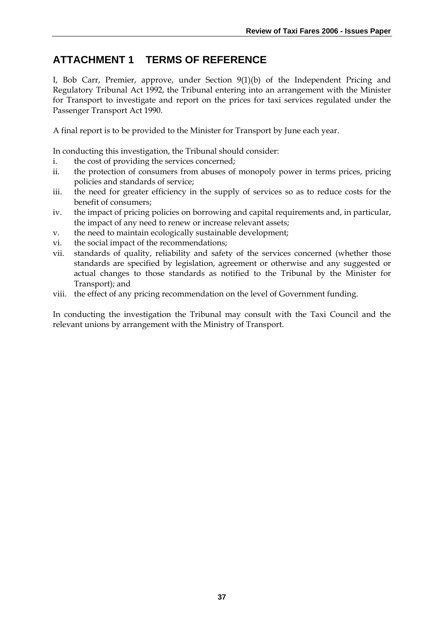# **ATTACHMENT 1 TERMS OF REFERENCE**

I, Bob Carr, Premier, approve, under Section 9(1)(b) of the Independent Pricing and Regulatory Tribunal Act 1992, the Tribunal entering into an arrangement with the Minister for Transport to investigate and report on the prices for taxi services regulated under the Passenger Transport Act 1990.

A final report is to be provided to the Minister for Transport by June each year.

In conducting this investigation, the Tribunal should consider:

- i. the cost of providing the services concerned;
- ii. the protection of consumers from abuses of monopoly power in terms prices, pricing policies and standards of service;
- iii. the need for greater efficiency in the supply of services so as to reduce costs for the benefit of consumers;
- iv. the impact of pricing policies on borrowing and capital requirements and, in particular, the impact of any need to renew or increase relevant assets;
- v. the need to maintain ecologically sustainable development;
- vi. the social impact of the recommendations;
- vii. standards of quality, reliability and safety of the services concerned (whether those standards are specified by legislation, agreement or otherwise and any suggested or actual changes to those standards as notified to the Tribunal by the Minister for Transport); and
- viii. the effect of any pricing recommendation on the level of Government funding.

In conducting the investigation the Tribunal may consult with the Taxi Council and the relevant unions by arrangement with the Ministry of Transport.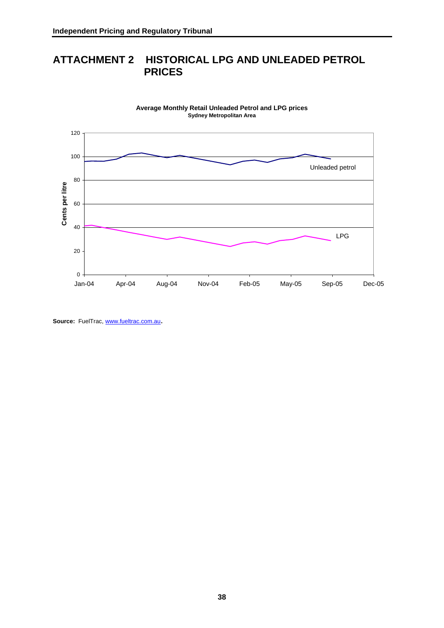# **ATTACHMENT 2 HISTORICAL LPG AND UNLEADED PETROL PRICES**



**Average Monthly Retail Unleaded Petrol and LPG prices Sydney Metropolitan Area**

Source: FuelTrac, www.fueltrac.com.au.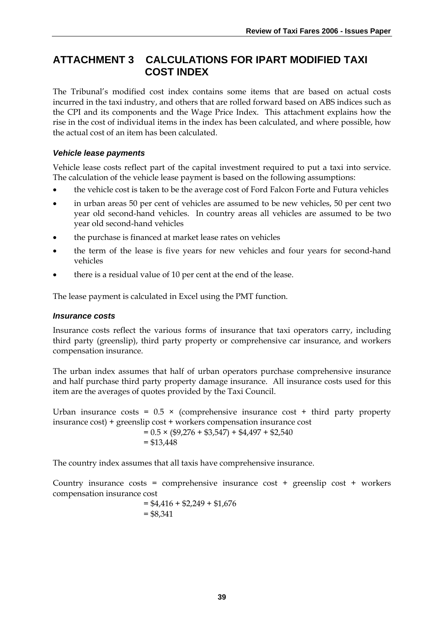# **ATTACHMENT 3 CALCULATIONS FOR IPART MODIFIED TAXI COST INDEX**

The Tribunal's modified cost index contains some items that are based on actual costs incurred in the taxi industry, and others that are rolled forward based on ABS indices such as the CPI and its components and the Wage Price Index. This attachment explains how the rise in the cost of individual items in the index has been calculated, and where possible, how the actual cost of an item has been calculated.

### *Vehicle lease payments*

Vehicle lease costs reflect part of the capital investment required to put a taxi into service. The calculation of the vehicle lease payment is based on the following assumptions:

- the vehicle cost is taken to be the average cost of Ford Falcon Forte and Futura vehicles
- in urban areas 50 per cent of vehicles are assumed to be new vehicles, 50 per cent two year old second-hand vehicles. In country areas all vehicles are assumed to be two year old second-hand vehicles
- the purchase is financed at market lease rates on vehicles
- the term of the lease is five years for new vehicles and four years for second-hand vehicles
- there is a residual value of 10 per cent at the end of the lease.

The lease payment is calculated in Excel using the PMT function.

### *Insurance costs*

Insurance costs reflect the various forms of insurance that taxi operators carry, including third party (greenslip), third party property or comprehensive car insurance, and workers compensation insurance.

The urban index assumes that half of urban operators purchase comprehensive insurance and half purchase third party property damage insurance. All insurance costs used for this item are the averages of quotes provided by the Taxi Council.

Urban insurance costs =  $0.5 \times$  (comprehensive insurance cost + third party property insurance cost) + greenslip cost + workers compensation insurance cost

 $= 0.5 \times (\$9,276 + \$3,547) + \$4,497 + \$2,540$  $= $13,448$ 

The country index assumes that all taxis have comprehensive insurance.

Country insurance costs = comprehensive insurance cost + greenslip cost + workers compensation insurance cost

$$
= $4,416 + $2,249 + $1,676
$$

$$
= $8,341
$$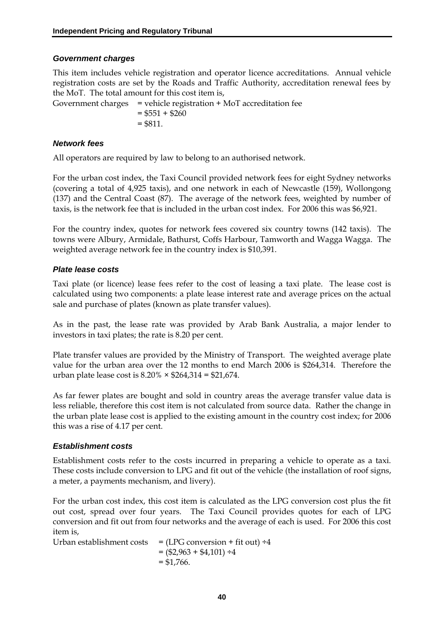### *Government charges*

This item includes vehicle registration and operator licence accreditations. Annual vehicle registration costs are set by the Roads and Traffic Authority, accreditation renewal fees by the MoT. The total amount for this cost item is,

Government charges = vehicle registration + MoT accreditation fee  $= $551 + $260$  $= $811.$ 

#### *Network fees*

All operators are required by law to belong to an authorised network.

For the urban cost index, the Taxi Council provided network fees for eight Sydney networks (covering a total of 4,925 taxis), and one network in each of Newcastle (159), Wollongong (137) and the Central Coast (87). The average of the network fees, weighted by number of taxis, is the network fee that is included in the urban cost index. For 2006 this was \$6,921.

For the country index, quotes for network fees covered six country towns (142 taxis). The towns were Albury, Armidale, Bathurst, Coffs Harbour, Tamworth and Wagga Wagga. The weighted average network fee in the country index is \$10,391.

#### *Plate lease costs*

Taxi plate (or licence) lease fees refer to the cost of leasing a taxi plate. The lease cost is calculated using two components: a plate lease interest rate and average prices on the actual sale and purchase of plates (known as plate transfer values).

As in the past, the lease rate was provided by Arab Bank Australia, a major lender to investors in taxi plates; the rate is 8.20 per cent.

Plate transfer values are provided by the Ministry of Transport. The weighted average plate value for the urban area over the 12 months to end March 2006 is \$264,314. Therefore the urban plate lease cost is  $8.20\% \times $264,314 = $21,674$ .

As far fewer plates are bought and sold in country areas the average transfer value data is less reliable, therefore this cost item is not calculated from source data. Rather the change in the urban plate lease cost is applied to the existing amount in the country cost index; for 2006 this was a rise of 4.17 per cent.

### *Establishment costs*

Establishment costs refer to the costs incurred in preparing a vehicle to operate as a taxi. These costs include conversion to LPG and fit out of the vehicle (the installation of roof signs, a meter, a payments mechanism, and livery).

For the urban cost index, this cost item is calculated as the LPG conversion cost plus the fit out cost, spread over four years. The Taxi Council provides quotes for each of LPG conversion and fit out from four networks and the average of each is used. For 2006 this cost item is,

Urban establishment costs  $=$  (LPG conversion + fit out)  $\div 4$  $=(\$2,963 + \$4,101) \div 4$  $=$  \$1,766.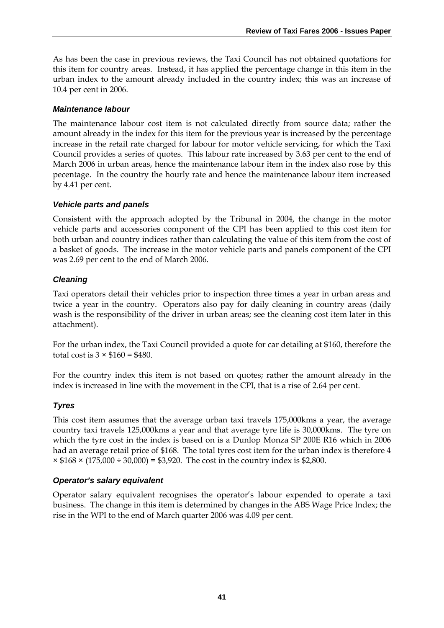As has been the case in previous reviews, the Taxi Council has not obtained quotations for this item for country areas. Instead, it has applied the percentage change in this item in the urban index to the amount already included in the country index; this was an increase of 10.4 per cent in 2006.

### *Maintenance labour*

The maintenance labour cost item is not calculated directly from source data; rather the amount already in the index for this item for the previous year is increased by the percentage increase in the retail rate charged for labour for motor vehicle servicing, for which the Taxi Council provides a series of quotes. This labour rate increased by 3.63 per cent to the end of March 2006 in urban areas, hence the maintenance labour item in the index also rose by this pecentage. In the country the hourly rate and hence the maintenance labour item increased by 4.41 per cent.

#### *Vehicle parts and panels*

Consistent with the approach adopted by the Tribunal in 2004, the change in the motor vehicle parts and accessories component of the CPI has been applied to this cost item for both urban and country indices rather than calculating the value of this item from the cost of a basket of goods. The increase in the motor vehicle parts and panels component of the CPI was 2.69 per cent to the end of March 2006.

#### *Cleaning*

Taxi operators detail their vehicles prior to inspection three times a year in urban areas and twice a year in the country. Operators also pay for daily cleaning in country areas (daily wash is the responsibility of the driver in urban areas; see the cleaning cost item later in this attachment).

For the urban index, the Taxi Council provided a quote for car detailing at \$160, therefore the total cost is  $3 \times \$160 = \$480$ .

For the country index this item is not based on quotes; rather the amount already in the index is increased in line with the movement in the CPI, that is a rise of 2.64 per cent.

### *Tyres*

This cost item assumes that the average urban taxi travels 175,000kms a year, the average country taxi travels 125,000kms a year and that average tyre life is 30,000kms. The tyre on which the tyre cost in the index is based on is a Dunlop Monza SP 200E R16 which in 2006 had an average retail price of \$168. The total tyres cost item for the urban index is therefore 4  $\times$  \$168  $\times$  (175,000 ÷ 30,000) = \$3,920. The cost in the country index is \$2,800.

#### *Operator's salary equivalent*

Operator salary equivalent recognises the operator's labour expended to operate a taxi business. The change in this item is determined by changes in the ABS Wage Price Index; the rise in the WPI to the end of March quarter 2006 was 4.09 per cent.